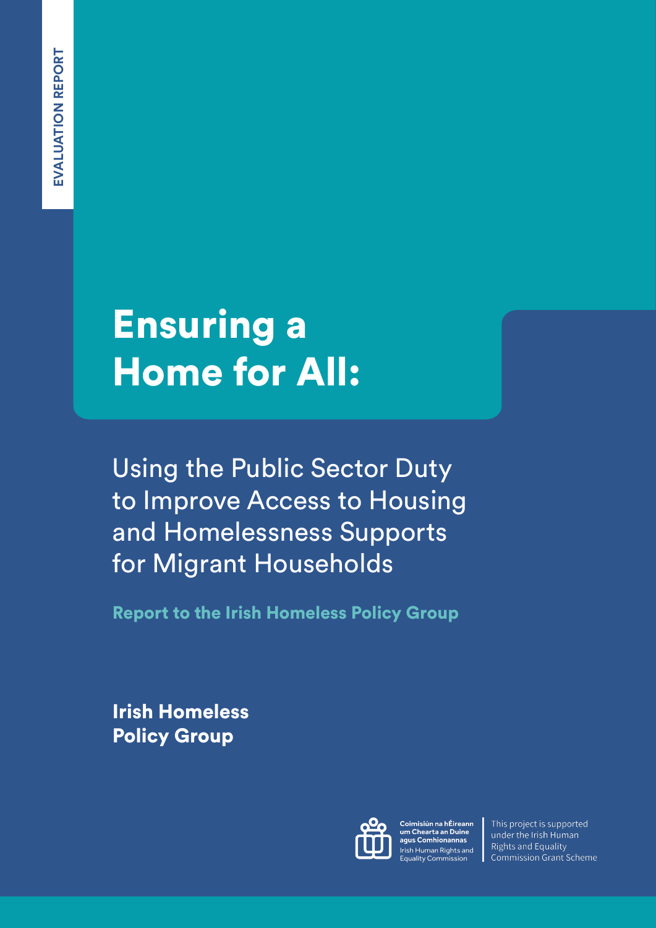# Ensuring a Home for All:

Using the Public Sector Duty to Improve Access to Housing and Homelessness Supports for Migrant Households

Report to the Irish Homeless Policy Group

Irish Homeless Policy Group



Coimisiún na hÉireann um Chearta an Duine agus Comhionannas Irish Human Rights and **Equality Commission** 

This project is supported under the Irish Human **Rights and Equality** Commission Grant Scheme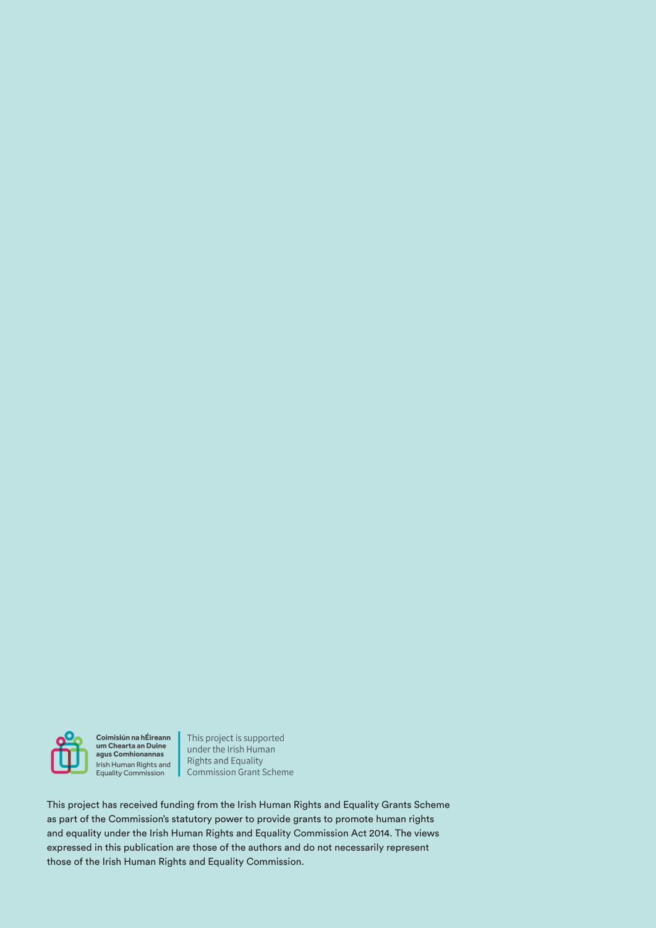

Coimisiún na hÉireann<br>um Chearta an Duine agus Comhionannas Irish Human Rights and Equality Commission

This project is supported under the Irish Human **Rights and Equality** Commission Grant Scheme

This project has received funding from the Irish Human Rights and Equality Grants Scheme as part of the Commission's statutory power to provide grants to promote human rights and equality under the Irish Human Rights and Equality Commission Act 2014. The views expressed in this publication are those of the authors and do not necessarily represent those of the Irish Human Rights and Equality Commission.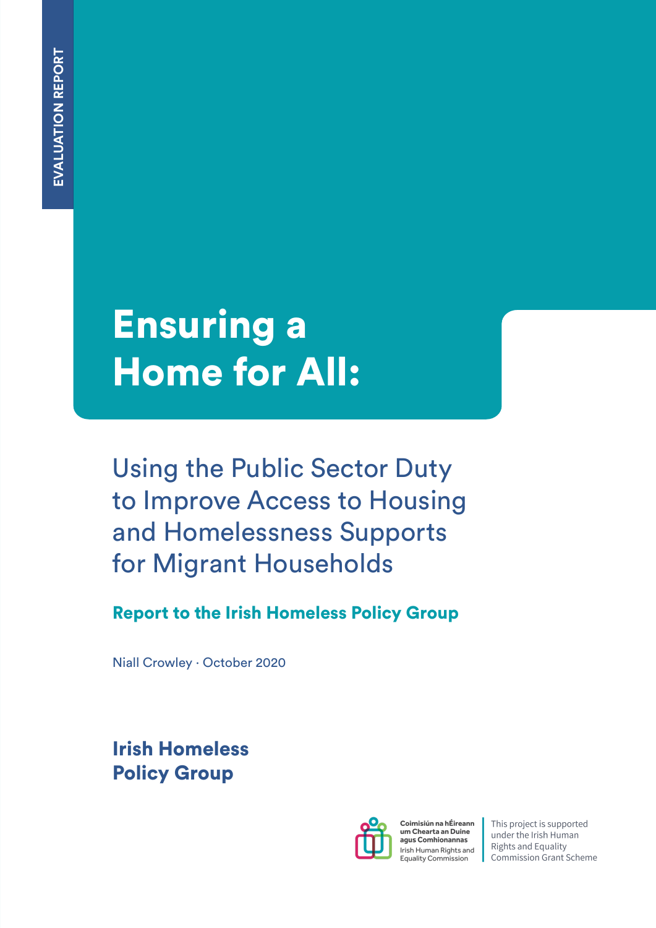# Ensuring a Home for All:

Using the Public Sector Duty to Improve Access to Housing and Homelessness Supports for Migrant Households

Report to the Irish Homeless Policy Group

Niall Crowley · October 2020

Irish Homeless Policy Group



Coimisiún na hÉireann um Chearta an Duine aqus Comhionannas Irish Human Rights and **Equality Commission** 

This project is supported under the Irish Human **Rights and Equality Commission Grant Scheme**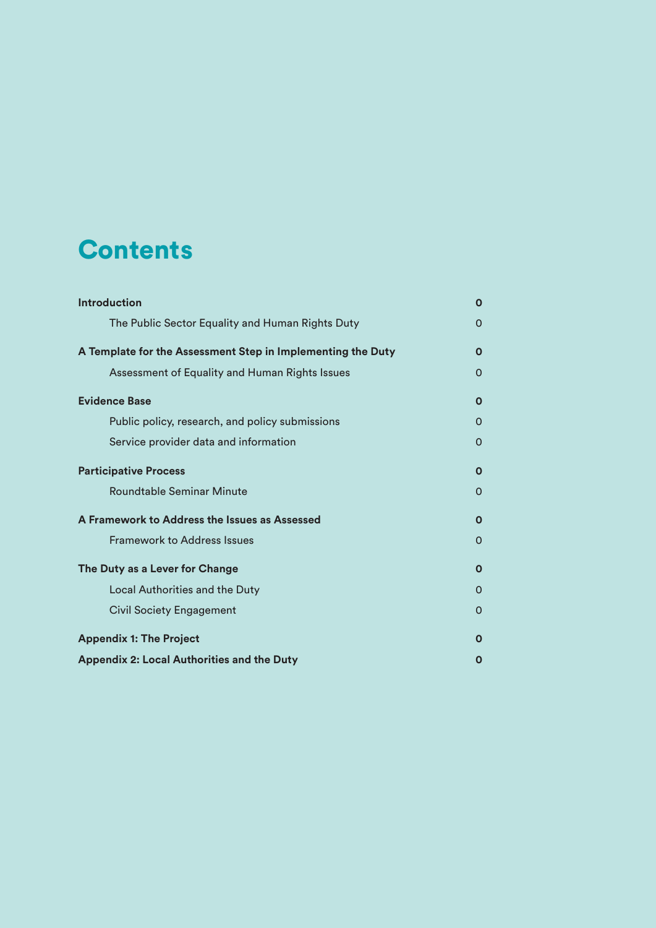# **Contents**

| <b>Introduction</b>                                         | O           |
|-------------------------------------------------------------|-------------|
| The Public Sector Equality and Human Rights Duty            | $\Omega$    |
| A Template for the Assessment Step in Implementing the Duty | 0           |
| Assessment of Equality and Human Rights Issues              | $\Omega$    |
| <b>Evidence Base</b>                                        | $\mathbf 0$ |
| Public policy, research, and policy submissions             | $\Omega$    |
| Service provider data and information                       | 0           |
| <b>Participative Process</b>                                | $\mathbf 0$ |
| Roundtable Seminar Minute                                   | 0           |
| A Framework to Address the Issues as Assessed               | $\Omega$    |
| <b>Framework to Address Issues</b>                          | $\Omega$    |
| The Duty as a Lever for Change                              | $\mathbf 0$ |
| <b>Local Authorities and the Duty</b>                       | $\Omega$    |
| <b>Civil Society Engagement</b>                             | O           |
| <b>Appendix 1: The Project</b>                              | O           |
| <b>Appendix 2: Local Authorities and the Duty</b>           | Ο           |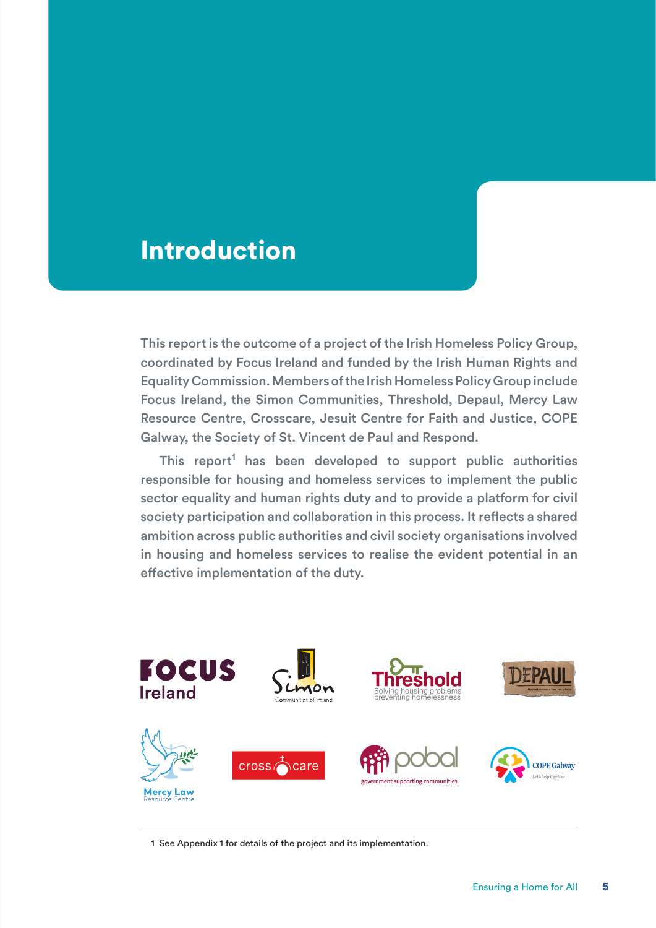# Introduction

This report is the outcome of a project of the Irish Homeless Policy Group, coordinated by Focus Ireland and funded by the Irish Human Rights and Equality Commission. Members of the Irish Homeless Policy Group include Focus Ireland, the Simon Communities, Threshold, Depaul, Mercy Law Resource Centre, Crosscare, Jesuit Centre for Faith and Justice, COPE Galway, the Society of St. Vincent de Paul and Respond.

This report<sup>1</sup> has been developed to support public authorities responsible for housing and homeless services to implement the public sector equality and human rights duty and to provide a platform for civil society participation and collaboration in this process. It reflects a shared ambition across public authorities and civil society organisations involved in housing and homeless services to realise the evident potential in an effective implementation of the duty.



1 See Appendix 1 for details of the project and its implementation.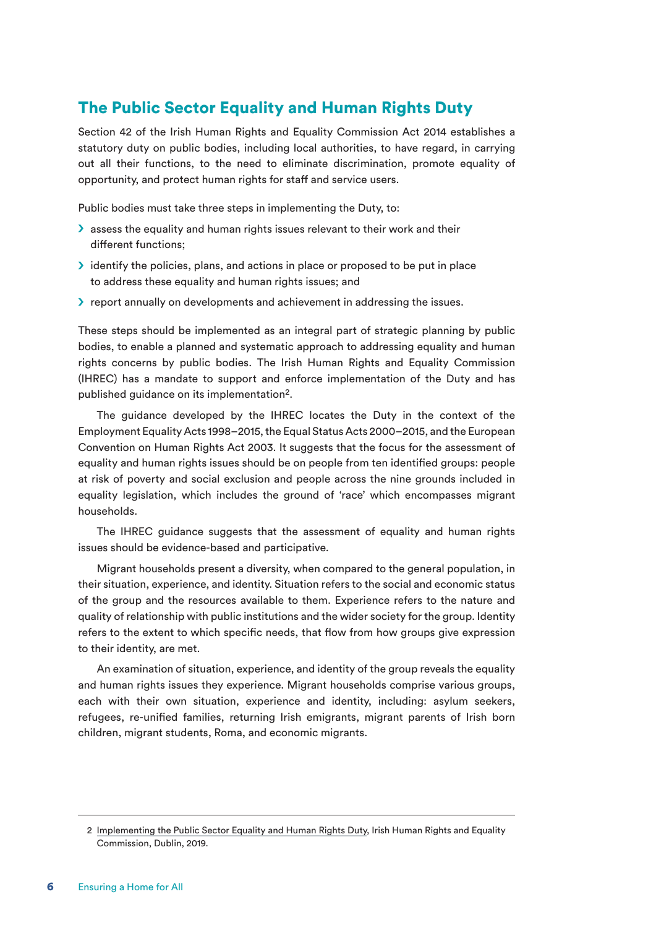### The Public Sector Equality and Human Rights Duty

Section 42 of the Irish Human Rights and Equality Commission Act 2014 establishes a statutory duty on public bodies, including local authorities, to have regard, in carrying out all their functions, to the need to eliminate discrimination, promote equality of opportunity, and protect human rights for staff and service users.

Public bodies must take three steps in implementing the Duty, to:

- $\sum$  assess the equality and human rights issues relevant to their work and their different functions;
- $\geq$  identify the policies, plans, and actions in place or proposed to be put in place to address these equality and human rights issues; and
- $\triangleright$  report annually on developments and achievement in addressing the issues.

These steps should be implemented as an integral part of strategic planning by public bodies, to enable a planned and systematic approach to addressing equality and human rights concerns by public bodies. The Irish Human Rights and Equality Commission (IHREC) has a mandate to support and enforce implementation of the Duty and has published guidance on its implementation<sup>2</sup>.

The guidance developed by the IHREC locates the Duty in the context of the Employment Equality Acts 1998–2015, the Equal Status Acts 2000–2015, and the European Convention on Human Rights Act 2003. It suggests that the focus for the assessment of equality and human rights issues should be on people from ten identified groups: people at risk of poverty and social exclusion and people across the nine grounds included in equality legislation, which includes the ground of 'race' which encompasses migrant households.

The IHREC guidance suggests that the assessment of equality and human rights issues should be evidence-based and participative.

Migrant households present a diversity, when compared to the general population, in their situation, experience, and identity. Situation refers to the social and economic status of the group and the resources available to them. Experience refers to the nature and quality of relationship with public institutions and the wider society for the group. Identity refers to the extent to which specific needs, that flow from how groups give expression to their identity, are met.

An examination of situation, experience, and identity of the group reveals the equality and human rights issues they experience. Migrant households comprise various groups, each with their own situation, experience and identity, including: asylum seekers, refugees, re-unified families, returning Irish emigrants, migrant parents of Irish born children, migrant students, Roma, and economic migrants.

<sup>2</sup> Implementing the Public Sector Equality and Human Rights Duty, Irish Human Rights and Equality Commission, Dublin, 2019.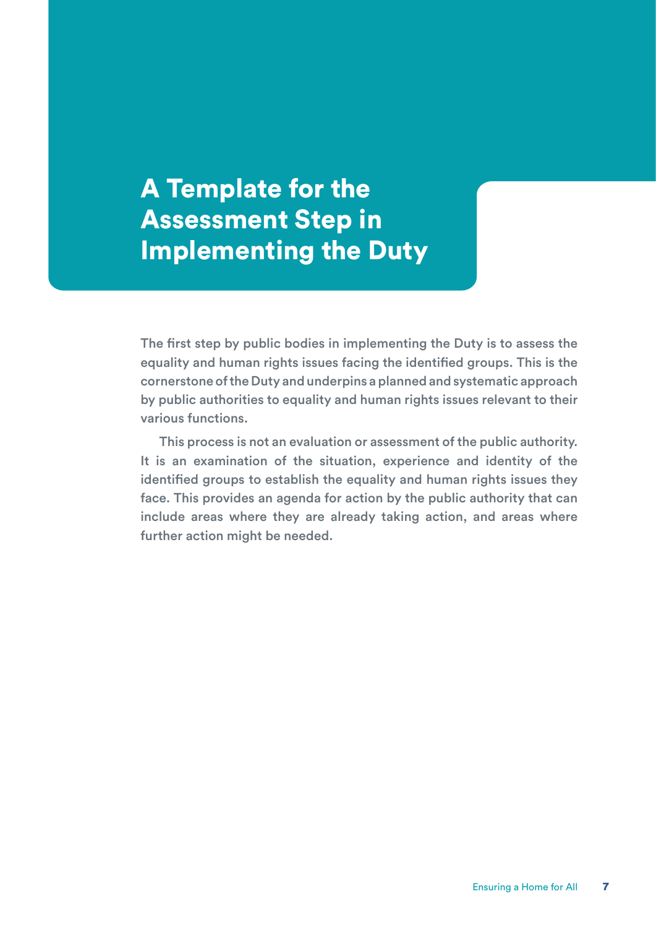A Template for the Assessment Step in Implementing the Duty

The first step by public bodies in implementing the Duty is to assess the equality and human rights issues facing the identified groups. This is the cornerstone of the Duty and underpins a planned and systematic approach by public authorities to equality and human rights issues relevant to their various functions.

This process is not an evaluation or assessment of the public authority. It is an examination of the situation, experience and identity of the identified groups to establish the equality and human rights issues they face. This provides an agenda for action by the public authority that can include areas where they are already taking action, and areas where further action might be needed.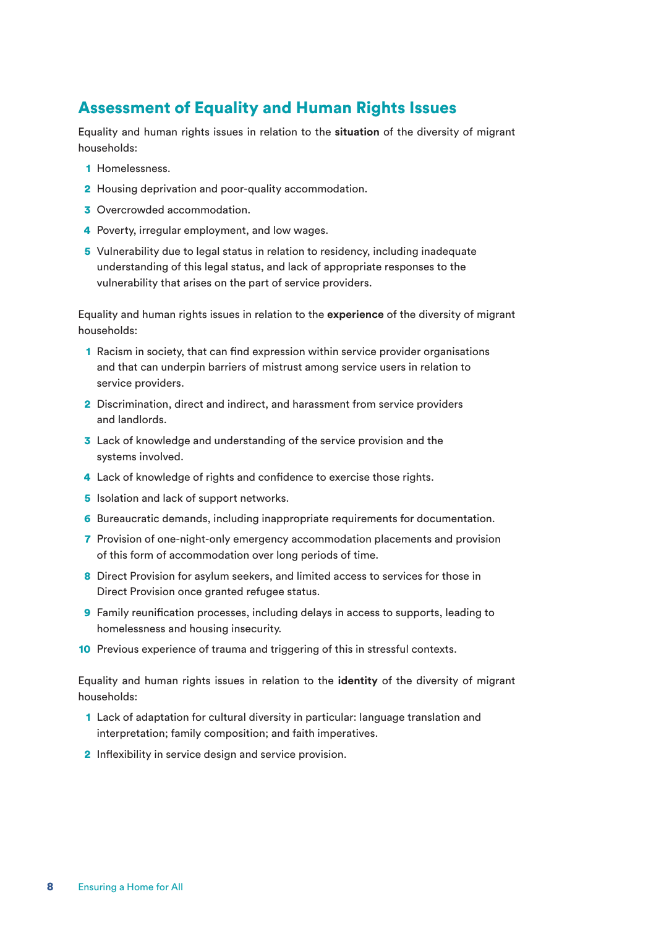### Assessment of Equality and Human Rights Issues

Equality and human rights issues in relation to the **situation** of the diversity of migrant households:

- 1 Homelessness.
- 2 Housing deprivation and poor-quality accommodation.
- **3** Overcrowded accommodation.
- 4 Poverty, irregular employment, and low wages.
- 5 Vulnerability due to legal status in relation to residency, including inadequate understanding of this legal status, and lack of appropriate responses to the vulnerability that arises on the part of service providers.

Equality and human rights issues in relation to the **experience** of the diversity of migrant households:

- 1 Racism in society, that can find expression within service provider organisations and that can underpin barriers of mistrust among service users in relation to service providers.
- 2 Discrimination, direct and indirect, and harassment from service providers and landlords.
- 3 Lack of knowledge and understanding of the service provision and the systems involved.
- 4 Lack of knowledge of rights and confidence to exercise those rights.
- 5 Isolation and lack of support networks.
- 6 Bureaucratic demands, including inappropriate requirements for documentation.
- 7 Provision of one-night-only emergency accommodation placements and provision of this form of accommodation over long periods of time.
- 8 Direct Provision for asylum seekers, and limited access to services for those in Direct Provision once granted refugee status.
- 9 Family reunification processes, including delays in access to supports, leading to homelessness and housing insecurity.
- 10 Previous experience of trauma and triggering of this in stressful contexts.

Equality and human rights issues in relation to the **identity** of the diversity of migrant households:

- 1 Lack of adaptation for cultural diversity in particular: language translation and interpretation; family composition; and faith imperatives.
- 2 Inflexibility in service design and service provision.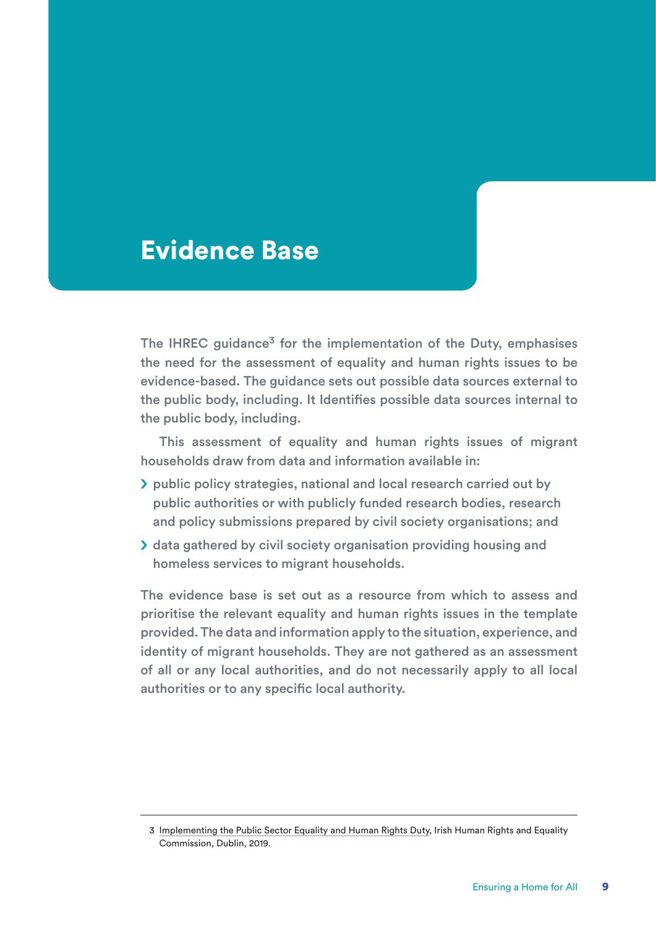# Evidence Base

The IHREC quidance $3$  for the implementation of the Duty, emphasises the need for the assessment of equality and human rights issues to be evidence-based. The guidance sets out possible data sources external to the public body, including. It Identifies possible data sources internal to the public body, including.

This assessment of equality and human rights issues of migrant households draw from data and information available in:

- S public policy strategies, national and local research carried out by public authorities or with publicly funded research bodies, research and policy submissions prepared by civil society organisations; and
- > data gathered by civil society organisation providing housing and homeless services to migrant households.

The evidence base is set out as a resource from which to assess and prioritise the relevant equality and human rights issues in the template provided. The data and information apply to the situation, experience, and identity of migrant households. They are not gathered as an assessment of all or any local authorities, and do not necessarily apply to all local authorities or to any specific local authority.

<sup>3</sup> Implementing the Public Sector Equality and Human Rights Duty, Irish Human Rights and Equality Commission, Dublin, 2019.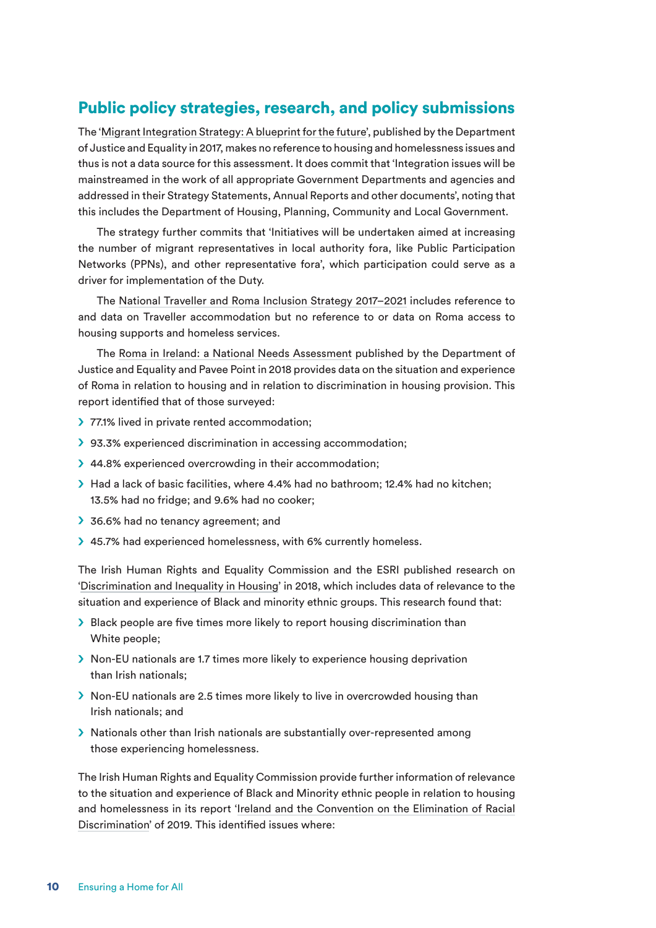### Public policy strategies, research, and policy submissions

The 'Migrant Integration Strategy: A blueprint for the future', published by the Department of Justice and Equality in 2017, makes no reference to housing and homelessness issues and thus is not a data source for this assessment. It does commit that 'Integration issues will be mainstreamed in the work of all appropriate Government Departments and agencies and addressed in their Strategy Statements, Annual Reports and other documents', noting that this includes the Department of Housing, Planning, Community and Local Government.

The strategy further commits that 'Initiatives will be undertaken aimed at increasing the number of migrant representatives in local authority fora, like Public Participation Networks (PPNs), and other representative fora', which participation could serve as a driver for implementation of the Duty.

The National Traveller and Roma Inclusion Strategy 2017–2021 includes reference to and data on Traveller accommodation but no reference to or data on Roma access to housing supports and homeless services.

The Roma in Ireland: a National Needs Assessment published by the Department of Justice and Equality and Pavee Point in 2018 provides data on the situation and experience of Roma in relation to housing and in relation to discrimination in housing provision. This report identified that of those surveyed:

- > 77.1% lived in private rented accommodation;
- > 93.3% experienced discrimination in accessing accommodation;
- > 44.8% experienced overcrowding in their accommodation;
- S Had a lack of basic facilities, where 4.4% had no bathroom; 12.4% had no kitchen; 13.5% had no fridge; and 9.6% had no cooker;
- 36.6% had no tenancy agreement; and
- > 45.7% had experienced homelessness, with 6% currently homeless.

The Irish Human Rights and Equality Commission and the ESRI published research on 'Discrimination and Inequality in Housing' in 2018, which includes data of relevance to the situation and experience of Black and minority ethnic groups. This research found that:

- $\triangleright$  Black people are five times more likely to report housing discrimination than White people;
- S Non-EU nationals are 1.7 times more likely to experience housing deprivation than Irish nationals;
- $\geq$  Non-EU nationals are 2.5 times more likely to live in overcrowded housing than Irish nationals; and
- S Nationals other than Irish nationals are substantially over-represented among those experiencing homelessness.

The Irish Human Rights and Equality Commission provide further information of relevance to the situation and experience of Black and Minority ethnic people in relation to housing and homelessness in its report 'Ireland and the Convention on the Elimination of Racial Discrimination' of 2019. This identified issues where: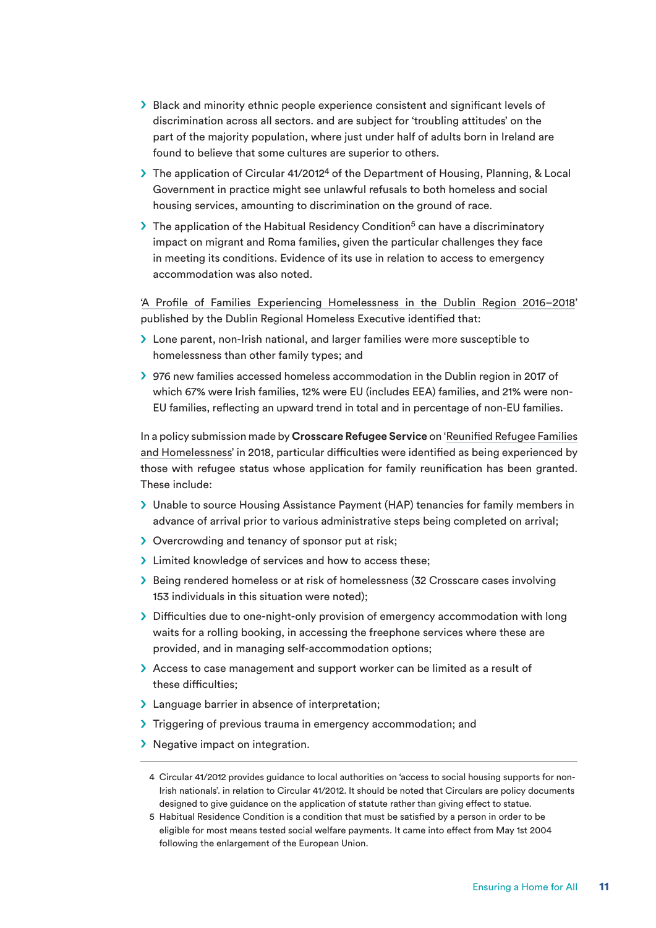- $\triangleright$  Black and minority ethnic people experience consistent and significant levels of discrimination across all sectors. and are subject for 'troubling attitudes' on the part of the majority population, where just under half of adults born in Ireland are found to believe that some cultures are superior to others.
- $\triangleright$  The application of Circular 41/2012<sup>4</sup> of the Department of Housing, Planning, & Local Government in practice might see unlawful refusals to both homeless and social housing services, amounting to discrimination on the ground of race.
- $\triangleright$  The application of the Habitual Residency Condition<sup>5</sup> can have a discriminatory impact on migrant and Roma families, given the particular challenges they face in meeting its conditions. Evidence of its use in relation to access to emergency accommodation was also noted.

'A Profile of Families Experiencing Homelessness in the Dublin Region 2016–2018' published by the Dublin Regional Homeless Executive identified that:

- > Lone parent, non-Irish national, and larger families were more susceptible to homelessness than other family types; and
- S 976 new families accessed homeless accommodation in the Dublin region in 2017 of which 67% were Irish families, 12% were EU (includes EEA) families, and 21% were non-EU families, reflecting an upward trend in total and in percentage of non-EU families.

In a policy submission made by **Crosscare Refugee Service** on 'Reunified Refugee Families and Homelessness' in 2018, particular difficulties were identified as being experienced by those with refugee status whose application for family reunification has been granted. These include:

- > Unable to source Housing Assistance Payment (HAP) tenancies for family members in advance of arrival prior to various administrative steps being completed on arrival;
- Sovercrowding and tenancy of sponsor put at risk:
- > Limited knowledge of services and how to access these;
- S Being rendered homeless or at risk of homelessness (32 Crosscare cases involving 153 individuals in this situation were noted);
- > Difficulties due to one-night-only provision of emergency accommodation with long waits for a rolling booking, in accessing the freephone services where these are provided, and in managing self-accommodation options;
- > Access to case management and support worker can be limited as a result of these difficulties;
- > Language barrier in absence of interpretation;
- > Triggering of previous trauma in emergency accommodation; and
- $\sum$  Negative impact on integration.
	- 4 Circular 41/2012 provides guidance to local authorities on 'access to social housing supports for non-Irish nationals'. in relation to Circular 41/2012. It should be noted that Circulars are policy documents designed to give guidance on the application of statute rather than giving effect to statue.
	- 5 Habitual Residence Condition is a condition that must be satisfied by a person in order to be eligible for most means tested social welfare payments. It came into effect from May 1st 2004 following the enlargement of the European Union.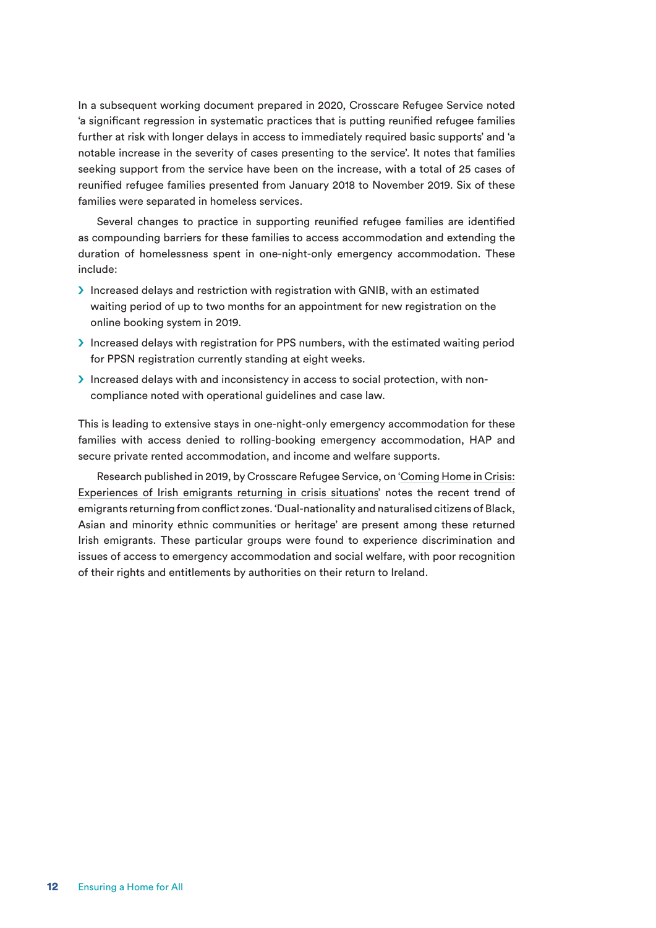In a subsequent working document prepared in 2020, Crosscare Refugee Service noted 'a significant regression in systematic practices that is putting reunified refugee families further at risk with longer delays in access to immediately required basic supports' and 'a notable increase in the severity of cases presenting to the service'. It notes that families seeking support from the service have been on the increase, with a total of 25 cases of reunified refugee families presented from January 2018 to November 2019. Six of these families were separated in homeless services.

Several changes to practice in supporting reunified refugee families are identified as compounding barriers for these families to access accommodation and extending the duration of homelessness spent in one-night-only emergency accommodation. These include:

- $\sum$  Increased delays and restriction with registration with GNIB, with an estimated waiting period of up to two months for an appointment for new registration on the online booking system in 2019.
- S Increased delays with registration for PPS numbers, with the estimated waiting period for PPSN registration currently standing at eight weeks.
- > Increased delays with and inconsistency in access to social protection, with noncompliance noted with operational guidelines and case law.

This is leading to extensive stays in one-night-only emergency accommodation for these families with access denied to rolling-booking emergency accommodation, HAP and secure private rented accommodation, and income and welfare supports.

Research published in 2019, by Crosscare Refugee Service, on 'Coming Home in Crisis: Experiences of Irish emigrants returning in crisis situations' notes the recent trend of emigrants returning from conflict zones. 'Dual-nationality and naturalised citizens of Black, Asian and minority ethnic communities or heritage' are present among these returned Irish emigrants. These particular groups were found to experience discrimination and issues of access to emergency accommodation and social welfare, with poor recognition of their rights and entitlements by authorities on their return to Ireland.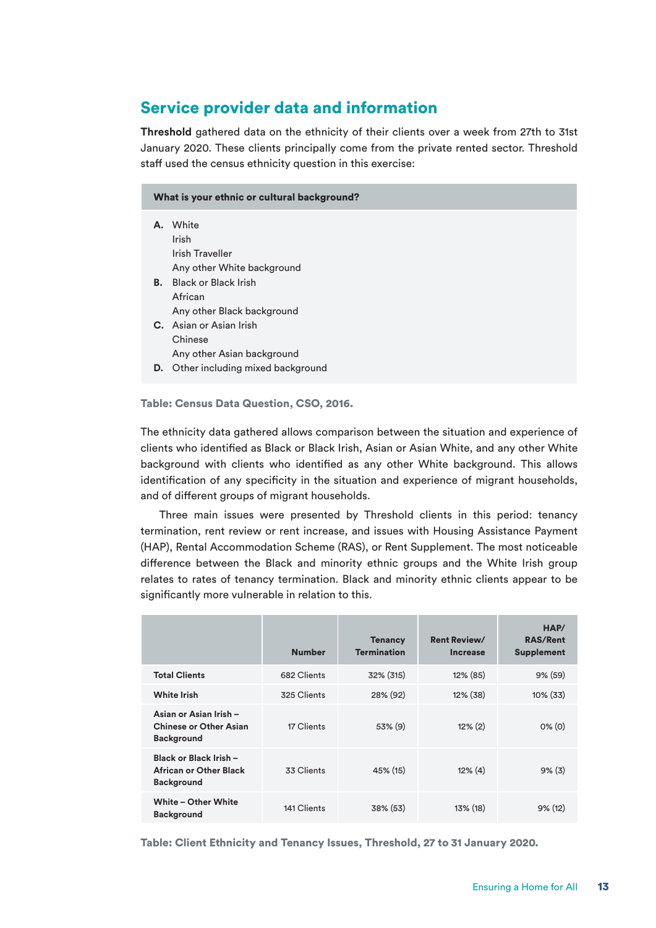### Service provider data and information

**Threshold** gathered data on the ethnicity of their clients over a week from 27th to 31st January 2020. These clients principally come from the private rented sector. Threshold staff used the census ethnicity question in this exercise:

#### What is your ethnic or cultural background?

| А. | White                            |
|----|----------------------------------|
|    | Irish                            |
|    | Irish Traveller                  |
|    | Any other White background       |
| В. | - Black or Black Irish           |
|    | African                          |
|    | Any other Black background       |
|    | C. Asian or Asian Irish          |
|    | Chinese                          |
|    | Any other Asian background       |
| D. | Other including mixed background |

Table: Census Data Question, CSO, 2016.

The ethnicity data gathered allows comparison between the situation and experience of clients who identified as Black or Black Irish, Asian or Asian White, and any other White background with clients who identified as any other White background. This allows identification of any specificity in the situation and experience of migrant households, and of different groups of migrant households.

Three main issues were presented by Threshold clients in this period: tenancy termination, rent review or rent increase, and issues with Housing Assistance Payment (HAP), Rental Accommodation Scheme (RAS), or Rent Supplement. The most noticeable difference between the Black and minority ethnic groups and the White Irish group relates to rates of tenancy termination. Black and minority ethnic clients appear to be significantly more vulnerable in relation to this.

|                                                                              | <b>Number</b> | <b>Tenancy</b><br><b>Termination</b> | <b>Rent Review/</b><br>Increase | HAP/<br><b>RAS/Rent</b><br><b>Supplement</b> |
|------------------------------------------------------------------------------|---------------|--------------------------------------|---------------------------------|----------------------------------------------|
| <b>Total Clients</b>                                                         | 682 Clients   | 32% (315)                            | $12\%$ (85)                     | 9% (59)                                      |
| <b>White Irish</b>                                                           | 325 Clients   | 28% (92)                             | $12\%$ (38)                     | $10\%$ (33)                                  |
| Asian or Asian Irish -<br><b>Chinese or Other Asian</b><br><b>Background</b> | 17 Clients    | $53\%$ (9)                           | $12\%$ (2)                      | $0\%$ (0)                                    |
| Black or Black Irish -<br>African or Other Black<br><b>Background</b>        | 33 Clients    | 45% (15)                             | $12\%$ (4)                      | $9\%$ (3)                                    |
| White - Other White<br><b>Background</b>                                     | 141 Clients   | 38% (53)                             | 13% (18)                        | $9\%$ (12)                                   |

Table: Client Ethnicity and Tenancy Issues, Threshold, 27 to 31 January 2020.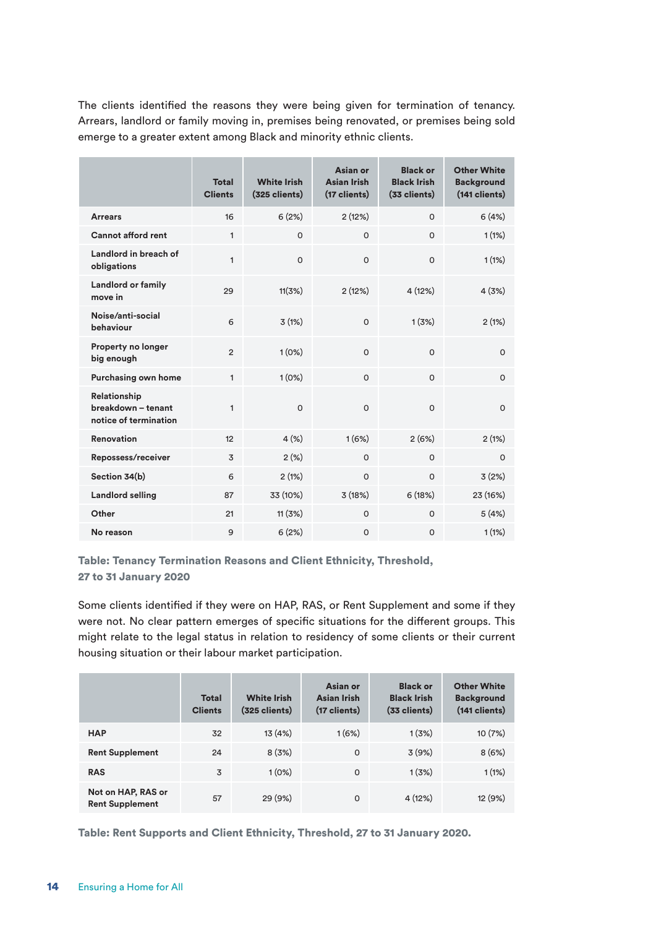The clients identified the reasons they were being given for termination of tenancy. Arrears, landlord or family moving in, premises being renovated, or premises being sold emerge to a greater extent among Black and minority ethnic clients.

|                                                                    | <b>Total</b><br><b>Clients</b> | <b>White Irish</b><br>(325 clients) | Asian or<br><b>Asian Irish</b><br>(17 clients) | <b>Black or</b><br><b>Black Irish</b><br>(33 clients) | <b>Other White</b><br><b>Background</b><br>(141 clients) |
|--------------------------------------------------------------------|--------------------------------|-------------------------------------|------------------------------------------------|-------------------------------------------------------|----------------------------------------------------------|
| <b>Arrears</b>                                                     | 16                             | 6(2%)                               | 2(12%)                                         | $\Omega$                                              | 6(4%)                                                    |
| <b>Cannot afford rent</b>                                          | $\mathbf{1}$                   | $\circ$                             | $\Omega$                                       | $\Omega$                                              | 1(1%)                                                    |
| Landlord in breach of<br>obligations                               | $\mathbf{1}$                   | $\mathsf{O}$                        | $\Omega$                                       | $\mathsf{O}$                                          | 1(1%)                                                    |
| <b>Landlord or family</b><br>move in                               | 29                             | 11(3%)                              | 2(12%)                                         | 4 (12%)                                               | 4(3%)                                                    |
| Noise/anti-social<br>behaviour                                     | 6                              | 3(1%)                               | $\Omega$                                       | 1(3%)                                                 | 2(1%)                                                    |
| Property no longer<br>big enough                                   | $\overline{2}$                 | 1(0%)                               | $\Omega$                                       | $\Omega$                                              | $\Omega$                                                 |
| Purchasing own home                                                | $\mathbf{1}$                   | 1(0%)                               | $\Omega$                                       | $\Omega$                                              | $\Omega$                                                 |
| <b>Relationship</b><br>breakdown - tenant<br>notice of termination | $\mathbf{1}$                   | $\Omega$                            | $\Omega$                                       | $\Omega$                                              | $\Omega$                                                 |
| <b>Renovation</b>                                                  | 12                             | 4(%)                                | 1(6%)                                          | 2(6%)                                                 | 2(1%)                                                    |
| Repossess/receiver                                                 | 3                              | 2(%)                                | $\Omega$                                       | $\Omega$                                              | $\Omega$                                                 |
| Section 34(b)                                                      | 6                              | 2(1%)                               | $\circ$                                        | $\mathsf{o}$                                          | 3(2%)                                                    |
| <b>Landlord selling</b>                                            | 87                             | 33 (10%)                            | 3(18%)                                         | 6(18%)                                                | 23 (16%)                                                 |
| Other                                                              | 21                             | 11(3%)                              | $\Omega$                                       | $\Omega$                                              | 5(4%)                                                    |
| No reason                                                          | 9                              | 6(2%)                               | $\Omega$                                       | $\Omega$                                              | 1(1%)                                                    |

Table: Tenancy Termination Reasons and Client Ethnicity, Threshold, 27 to 31 January 2020

Some clients identified if they were on HAP, RAS, or Rent Supplement and some if they were not. No clear pattern emerges of specific situations for the different groups. This might relate to the legal status in relation to residency of some clients or their current housing situation or their labour market participation.

|                                              | <b>Total</b><br><b>Clients</b> | <b>White Irish</b><br>$(325$ clients) | Asian or<br><b>Asian Irish</b><br>(17 clients) | <b>Black or</b><br><b>Black Irish</b><br>(33 clients) | <b>Other White</b><br><b>Background</b><br>$(141$ clients) |
|----------------------------------------------|--------------------------------|---------------------------------------|------------------------------------------------|-------------------------------------------------------|------------------------------------------------------------|
| <b>HAP</b>                                   | 32                             | 13 (4%)                               | 1(6%)                                          | 1(3%)                                                 | 10(7%)                                                     |
| <b>Rent Supplement</b>                       | 24                             | 8(3%)                                 | $\circ$                                        | 3(9%)                                                 | 8(6%)                                                      |
| <b>RAS</b>                                   | 3                              | 1(0%)                                 | $\Omega$                                       | 1(3%)                                                 | 1(1%)                                                      |
| Not on HAP, RAS or<br><b>Rent Supplement</b> | 57                             | 29 (9%)                               | $\mathbf 0$                                    | 4(12%)                                                | 12 (9%)                                                    |

Table: Rent Supports and Client Ethnicity, Threshold, 27 to 31 January 2020.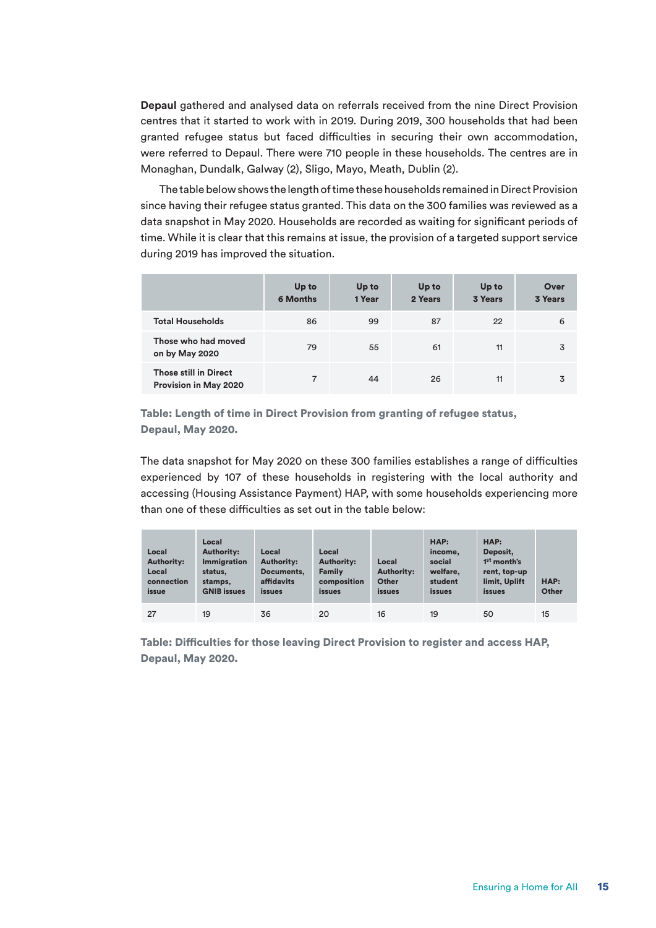**Depaul** gathered and analysed data on referrals received from the nine Direct Provision centres that it started to work with in 2019. During 2019, 300 households that had been granted refugee status but faced difficulties in securing their own accommodation, were referred to Depaul. There were 710 people in these households. The centres are in Monaghan, Dundalk, Galway (2), Sligo, Mayo, Meath, Dublin (2).

The table below shows the length of time these households remained in Direct Provision since having their refugee status granted. This data on the 300 families was reviewed as a data snapshot in May 2020. Households are recorded as waiting for significant periods of time. While it is clear that this remains at issue, the provision of a targeted support service during 2019 has improved the situation.

|                                                       | Up to<br><b>6 Months</b> | Up to<br>1 Year | Up to<br>2 Years | Up to<br><b>3 Years</b> | Over<br><b>3 Years</b> |
|-------------------------------------------------------|--------------------------|-----------------|------------------|-------------------------|------------------------|
| <b>Total Households</b>                               | 86                       | 99              | 87               | 22                      | 6                      |
| Those who had moved<br>on by May 2020                 | 79                       | 55              | 61               | 11                      | 3                      |
| <b>Those still in Direct</b><br>Provision in May 2020 | 7                        | 44              | 26               | 11                      | 3                      |

Table: Length of time in Direct Provision from granting of refugee status, Depaul, May 2020.

The data snapshot for May 2020 on these 300 families establishes a range of difficulties experienced by 107 of these households in registering with the local authority and accessing (Housing Assistance Payment) HAP, with some households experiencing more than one of these difficulties as set out in the table below:

| Local<br><b>Authority:</b><br>Local<br>connection<br>issue | Local<br><b>Authority:</b><br><b>Immigration</b><br>status.<br>stamps,<br><b>GNIB</b> issues | Local<br><b>Authority:</b><br>Documents.<br>affidavits<br><i>issues</i> | Local<br><b>Authority:</b><br><b>Family</b><br>composition<br><i>issues</i> | Local<br><b>Authority:</b><br>Other<br><i>issues</i> | HAP:<br>income,<br>social<br>welfare,<br>student<br><i>issues</i> | HAP:<br>Deposit.<br>1 <sup>st</sup> month's<br>rent, top-up<br>limit, Uplift<br>issues | HAP:<br>Other |
|------------------------------------------------------------|----------------------------------------------------------------------------------------------|-------------------------------------------------------------------------|-----------------------------------------------------------------------------|------------------------------------------------------|-------------------------------------------------------------------|----------------------------------------------------------------------------------------|---------------|
| 27                                                         | 19                                                                                           | 36                                                                      | 20                                                                          | 16                                                   | 19                                                                | 50                                                                                     | 15            |

Table: Difficulties for those leaving Direct Provision to register and access HAP, Depaul, May 2020.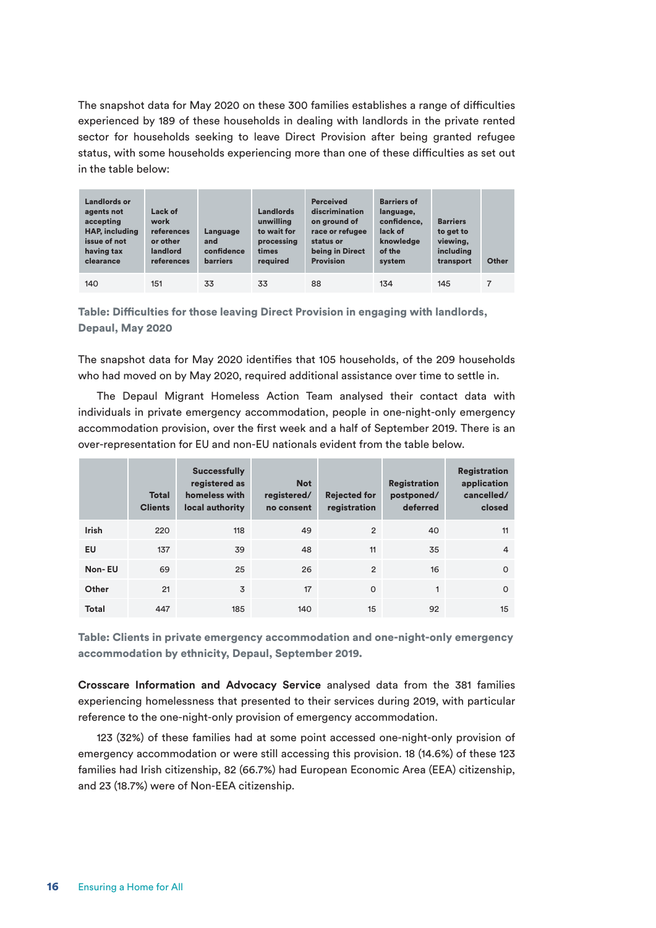The snapshot data for May 2020 on these 300 families establishes a range of difficulties experienced by 189 of these households in dealing with landlords in the private rented sector for households seeking to leave Direct Provision after being granted refugee status, with some households experiencing more than one of these difficulties as set out in the table below:

| Landlords or<br>agents not<br>accepting<br><b>HAP, including</b><br>issue of not<br>having tax<br>clearance | Lack of<br>work<br>references<br>or other<br>landlord<br>references | Language<br>and<br>confidence<br><b>barriers</b> | <b>Landlords</b><br>unwilling<br>to wait for<br>processing<br>times<br>reauired | <b>Perceived</b><br>discrimination<br>on ground of<br>race or refugee<br>status or<br>being in Direct<br><b>Provision</b> | <b>Barriers of</b><br>language,<br>confidence.<br>lack of<br>knowledge<br>of the<br>system | <b>Barriers</b><br>to get to<br>viewing,<br>including<br>transport | Other |
|-------------------------------------------------------------------------------------------------------------|---------------------------------------------------------------------|--------------------------------------------------|---------------------------------------------------------------------------------|---------------------------------------------------------------------------------------------------------------------------|--------------------------------------------------------------------------------------------|--------------------------------------------------------------------|-------|
| 140                                                                                                         | 151                                                                 | 33                                               | 33                                                                              | 88                                                                                                                        | 134                                                                                        | 145                                                                | 7     |

Table: Difficulties for those leaving Direct Provision in engaging with landlords, Depaul, May 2020

The snapshot data for May 2020 identifies that 105 households, of the 209 households who had moved on by May 2020, required additional assistance over time to settle in.

The Depaul Migrant Homeless Action Team analysed their contact data with individuals in private emergency accommodation, people in one-night-only emergency accommodation provision, over the first week and a half of September 2019. There is an over-representation for EU and non-EU nationals evident from the table below.

|              | <b>Total</b><br><b>Clients</b> | <b>Successfully</b><br>registered as<br>homeless with<br>local authority | <b>Not</b><br>registered/<br>no consent | <b>Rejected for</b><br>registration | <b>Registration</b><br>postponed/<br>deferred | <b>Registration</b><br>application<br>cancelled/<br>closed |
|--------------|--------------------------------|--------------------------------------------------------------------------|-----------------------------------------|-------------------------------------|-----------------------------------------------|------------------------------------------------------------|
| <b>Irish</b> | 220                            | 118                                                                      | 49                                      | $\overline{2}$                      | 40                                            | 11                                                         |
| EU           | 137                            | 39                                                                       | 48                                      | 11                                  | 35                                            | 4                                                          |
| Non-EU       | 69                             | 25                                                                       | 26                                      | $\overline{2}$                      | 16                                            | $\Omega$                                                   |
| Other        | 21                             | 3                                                                        | 17                                      | $\circ$                             | 1                                             | $\Omega$                                                   |
| <b>Total</b> | 447                            | 185                                                                      | 140                                     | 15                                  | 92                                            | 15                                                         |

Table: Clients in private emergency accommodation and one-night-only emergency accommodation by ethnicity, Depaul, September 2019.

**Crosscare Information and Advocacy Service** analysed data from the 381 families experiencing homelessness that presented to their services during 2019, with particular reference to the one-night-only provision of emergency accommodation.

123 (32%) of these families had at some point accessed one-night-only provision of emergency accommodation or were still accessing this provision. 18 (14.6%) of these 123 families had Irish citizenship, 82 (66.7%) had European Economic Area (EEA) citizenship, and 23 (18.7%) were of Non-EEA citizenship.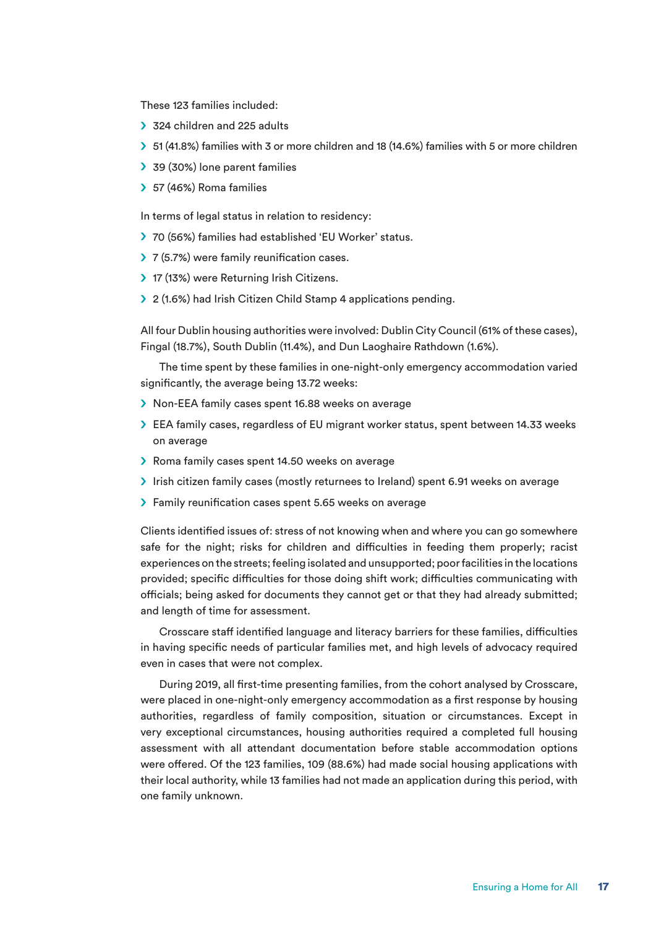These 123 families included:

- $\geq$  324 children and 225 adults
- S 51 (41.8%) families with 3 or more children and 18 (14.6%) families with 5 or more children
- 39 (30%) lone parent families
- $\geq$  57 (46%) Roma families

In terms of legal status in relation to residency:

- > 70 (56%) families had established 'EU Worker' status.
- $\geq 7$  (5.7%) were family reunification cases.
- > 17 (13%) were Returning Irish Citizens.
- > 2 (1.6%) had Irish Citizen Child Stamp 4 applications pending.

All four Dublin housing authorities were involved: Dublin City Council (61% of these cases), Fingal (18.7%), South Dublin (11.4%), and Dun Laoghaire Rathdown (1.6%).

The time spent by these families in one-night-only emergency accommodation varied significantly, the average being 13.72 weeks:

- S Non-EEA family cases spent 16.88 weeks on average
- S EEA family cases, regardless of EU migrant worker status, spent between 14.33 weeks on average
- S Roma family cases spent 14.50 weeks on average
- S Irish citizen family cases (mostly returnees to Ireland) spent 6.91 weeks on average
- > Family reunification cases spent 5.65 weeks on average

Clients identified issues of: stress of not knowing when and where you can go somewhere safe for the night; risks for children and difficulties in feeding them properly; racist experiences on the streets; feeling isolated and unsupported; poor facilities in the locations provided; specific difficulties for those doing shift work; difficulties communicating with officials; being asked for documents they cannot get or that they had already submitted; and length of time for assessment.

Crosscare staff identified language and literacy barriers for these families, difficulties in having specific needs of particular families met, and high levels of advocacy required even in cases that were not complex.

During 2019, all first-time presenting families, from the cohort analysed by Crosscare, were placed in one-night-only emergency accommodation as a first response by housing authorities, regardless of family composition, situation or circumstances. Except in very exceptional circumstances, housing authorities required a completed full housing assessment with all attendant documentation before stable accommodation options were offered. Of the 123 families, 109 (88.6%) had made social housing applications with their local authority, while 13 families had not made an application during this period, with one family unknown.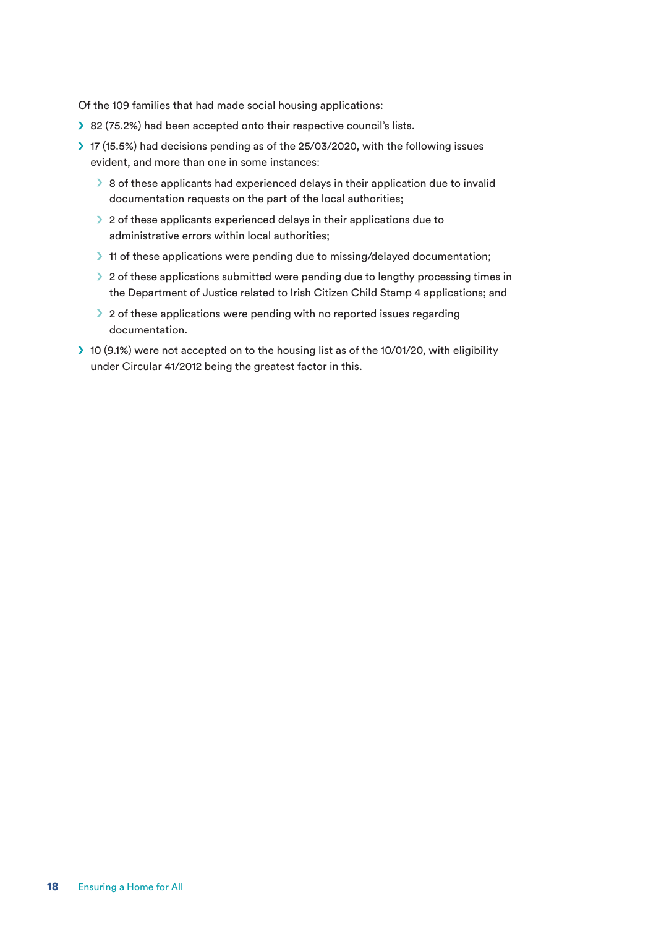Of the 109 families that had made social housing applications:

- > 82 (75.2%) had been accepted onto their respective council's lists.
- $\geq$  17 (15.5%) had decisions pending as of the 25/03/2020, with the following issues evident, and more than one in some instances:
	- $\triangleright$  8 of these applicants had experienced delays in their application due to invalid documentation requests on the part of the local authorities;
	- $\geq 2$  of these applicants experienced delays in their applications due to administrative errors within local authorities;
	- If 11 of these applications were pending due to missing/delayed documentation;
	- $\geq 2$  of these applications submitted were pending due to lengthy processing times in the Department of Justice related to Irish Citizen Child Stamp 4 applications; and
	- $\geq 2$  of these applications were pending with no reported issues regarding documentation.
- S 10 (9.1%) were not accepted on to the housing list as of the 10/01/20, with eligibility under Circular 41/2012 being the greatest factor in this.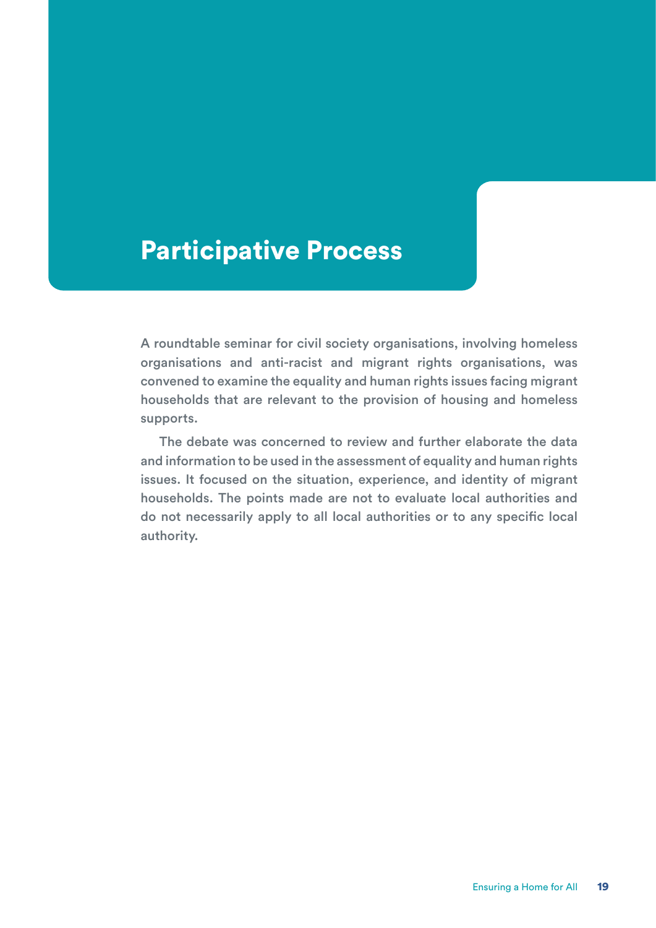# Participative Process

A roundtable seminar for civil society organisations, involving homeless organisations and anti-racist and migrant rights organisations, was convened to examine the equality and human rights issues facing migrant households that are relevant to the provision of housing and homeless supports.

The debate was concerned to review and further elaborate the data and information to be used in the assessment of equality and human rights issues. It focused on the situation, experience, and identity of migrant households. The points made are not to evaluate local authorities and do not necessarily apply to all local authorities or to any specific local authority.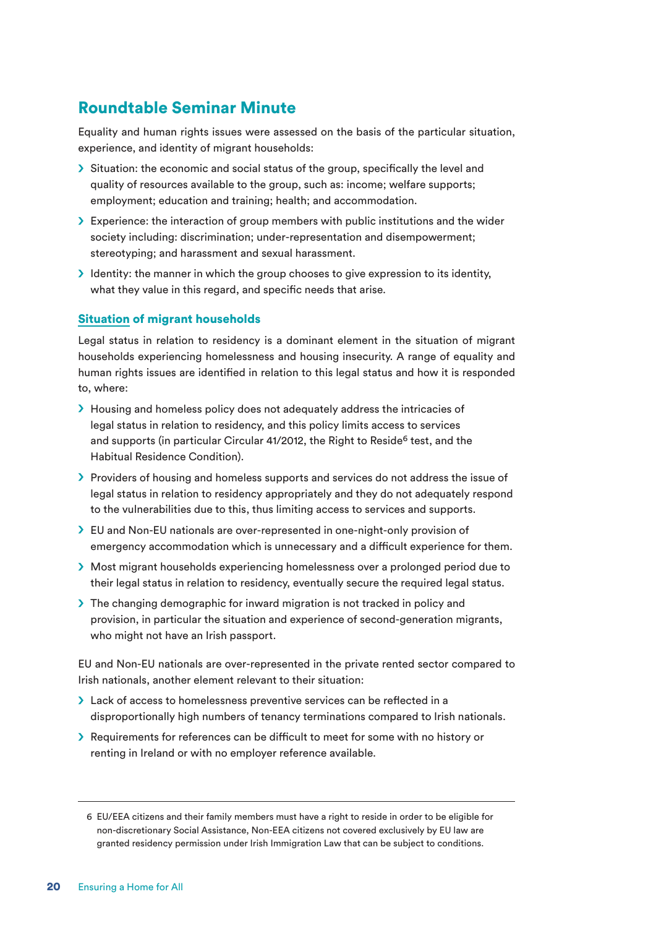### Roundtable Seminar Minute

Equality and human rights issues were assessed on the basis of the particular situation, experience, and identity of migrant households:

- $\triangleright$  Situation: the economic and social status of the group, specifically the level and quality of resources available to the group, such as: income; welfare supports; employment; education and training; health; and accommodation.
- Solut Experience: the interaction of group members with public institutions and the wider society including: discrimination; under-representation and disempowerment; stereotyping; and harassment and sexual harassment.
- $\blacktriangleright$  Identity: the manner in which the group chooses to give expression to its identity, what they value in this regard, and specific needs that arise.

#### Situation of migrant households

Legal status in relation to residency is a dominant element in the situation of migrant households experiencing homelessness and housing insecurity. A range of equality and human rights issues are identified in relation to this legal status and how it is responded to, where:

- > Housing and homeless policy does not adequately address the intricacies of legal status in relation to residency, and this policy limits access to services and supports (in particular Circular 41/2012, the Right to Reside<sup>6</sup> test, and the Habitual Residence Condition).
- S Providers of housing and homeless supports and services do not address the issue of legal status in relation to residency appropriately and they do not adequately respond to the vulnerabilities due to this, thus limiting access to services and supports.
- S EU and Non-EU nationals are over-represented in one-night-only provision of emergency accommodation which is unnecessary and a difficult experience for them.
- S Most migrant households experiencing homelessness over a prolonged period due to their legal status in relation to residency, eventually secure the required legal status.
- > The changing demographic for inward migration is not tracked in policy and provision, in particular the situation and experience of second-generation migrants, who might not have an Irish passport.

EU and Non-EU nationals are over-represented in the private rented sector compared to Irish nationals, another element relevant to their situation:

- S Lack of access to homelessness preventive services can be reflected in a disproportionally high numbers of tenancy terminations compared to Irish nationals.
- S Requirements for references can be difficult to meet for some with no history or renting in Ireland or with no employer reference available.

<sup>6</sup> EU/EEA citizens and their family members must have a right to reside in order to be eligible for non-discretionary Social Assistance, Non-EEA citizens not covered exclusively by EU law are granted residency permission under Irish Immigration Law that can be subject to conditions.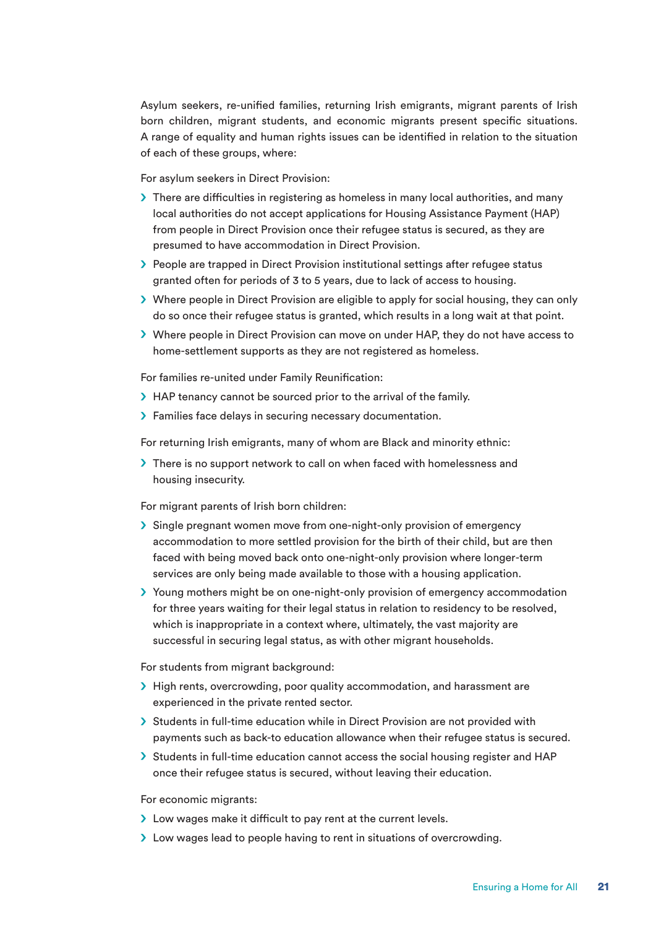Asylum seekers, re-unified families, returning Irish emigrants, migrant parents of Irish born children, migrant students, and economic migrants present specific situations. A range of equality and human rights issues can be identified in relation to the situation of each of these groups, where:

For asylum seekers in Direct Provision:

- $\triangleright$  There are difficulties in registering as homeless in many local authorities, and many local authorities do not accept applications for Housing Assistance Payment (HAP) from people in Direct Provision once their refugee status is secured, as they are presumed to have accommodation in Direct Provision.
- $\triangleright$  People are trapped in Direct Provision institutional settings after refugee status granted often for periods of 3 to 5 years, due to lack of access to housing.
- $\triangleright$  Where people in Direct Provision are eligible to apply for social housing, they can only do so once their refugee status is granted, which results in a long wait at that point.
- S Where people in Direct Provision can move on under HAP, they do not have access to home-settlement supports as they are not registered as homeless.

For families re-united under Family Reunification:

- > HAP tenancy cannot be sourced prior to the arrival of the family.
- $\blacktriangleright$  Families face delays in securing necessary documentation.

For returning Irish emigrants, many of whom are Black and minority ethnic:

> There is no support network to call on when faced with homelessness and housing insecurity.

For migrant parents of Irish born children:

- $\geq$  Single pregnant women move from one-night-only provision of emergency accommodation to more settled provision for the birth of their child, but are then faced with being moved back onto one-night-only provision where longer-term services are only being made available to those with a housing application.
- S Young mothers might be on one-night-only provision of emergency accommodation for three years waiting for their legal status in relation to residency to be resolved, which is inappropriate in a context where, ultimately, the vast majority are successful in securing legal status, as with other migrant households.

For students from migrant background:

- $\geq$  High rents, overcrowding, poor quality accommodation, and harassment are experienced in the private rented sector.
- S Students in full-time education while in Direct Provision are not provided with payments such as back-to education allowance when their refugee status is secured.
- $\geq$  Students in full-time education cannot access the social housing register and HAP once their refugee status is secured, without leaving their education.

For economic migrants:

- > Low wages make it difficult to pay rent at the current levels.
- I Low wages lead to people having to rent in situations of overcrowding.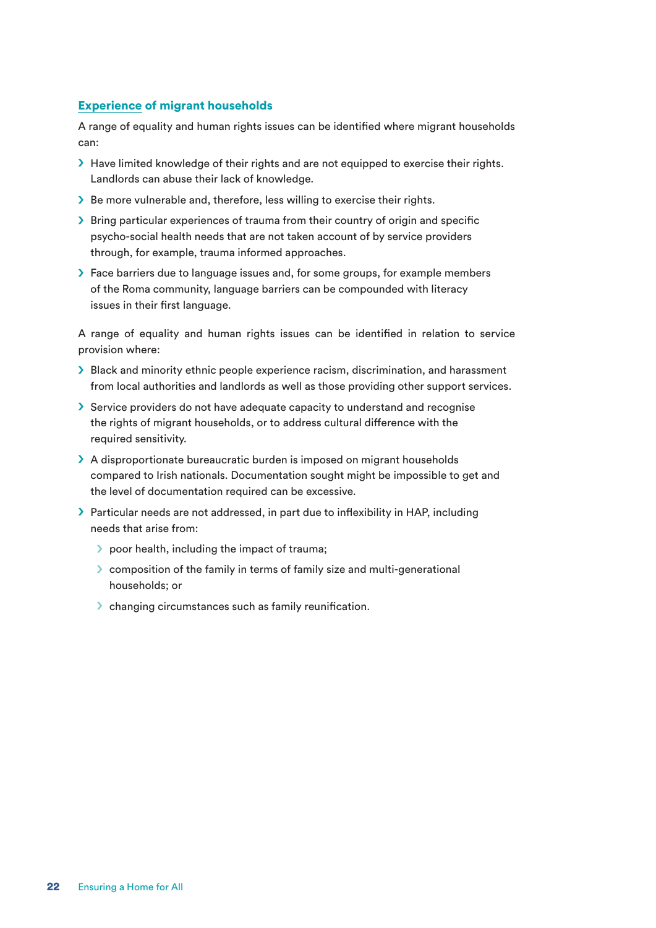#### Experience of migrant households

A range of equality and human rights issues can be identified where migrant households can:

- $\blacktriangleright$  Have limited knowledge of their rights and are not equipped to exercise their rights. Landlords can abuse their lack of knowledge.
- Solution Be more vulnerable and, therefore, less willing to exercise their rights.
- S Bring particular experiences of trauma from their country of origin and specific psycho-social health needs that are not taken account of by service providers through, for example, trauma informed approaches.
- > Face barriers due to language issues and, for some groups, for example members of the Roma community, language barriers can be compounded with literacy issues in their first language.

A range of equality and human rights issues can be identified in relation to service provision where:

- $\triangleright$  Black and minority ethnic people experience racism, discrimination, and harassment from local authorities and landlords as well as those providing other support services.
- $\geq$  Service providers do not have adequate capacity to understand and recognise the rights of migrant households, or to address cultural difference with the required sensitivity.
- > A disproportionate bureaucratic burden is imposed on migrant households compared to Irish nationals. Documentation sought might be impossible to get and the level of documentation required can be excessive.
- > Particular needs are not addressed, in part due to inflexibility in HAP, including needs that arise from:
	- $\triangleright$  poor health, including the impact of trauma;
	- S composition of the family in terms of family size and multi-generational households; or
	- $\triangleright$  changing circumstances such as family reunification.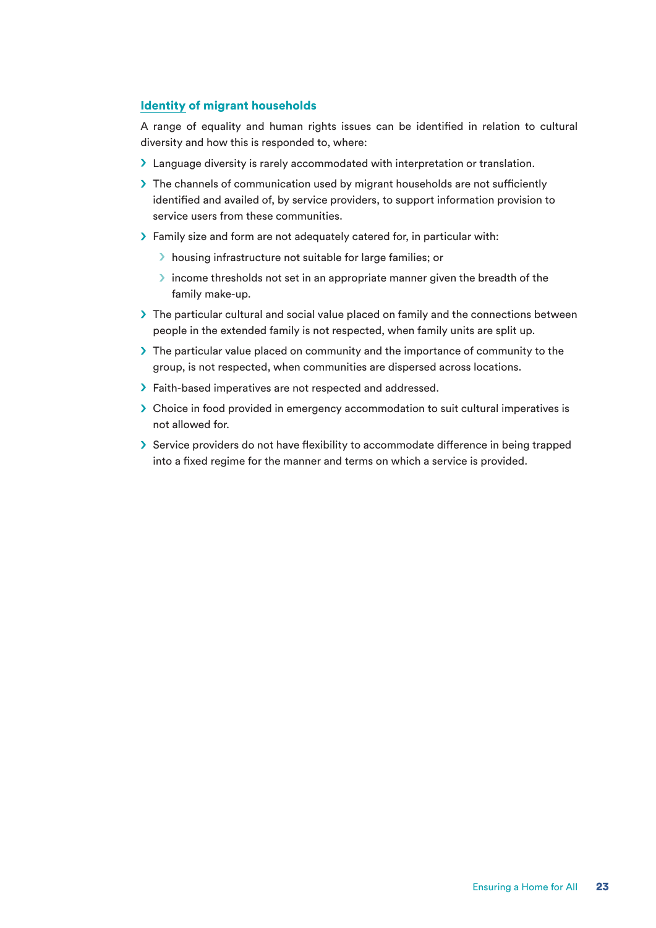#### Identity of migrant households

A range of equality and human rights issues can be identified in relation to cultural diversity and how this is responded to, where:

- > Language diversity is rarely accommodated with interpretation or translation.
- > The channels of communication used by migrant households are not sufficiently identified and availed of, by service providers, to support information provision to service users from these communities.
- > Family size and form are not adequately catered for, in particular with:
	- $\blacktriangleright$  housing infrastructure not suitable for large families; or
	- $\triangleright$  income thresholds not set in an appropriate manner given the breadth of the family make-up.
- $\triangleright$  The particular cultural and social value placed on family and the connections between people in the extended family is not respected, when family units are split up.
- $\triangleright$  The particular value placed on community and the importance of community to the group, is not respected, when communities are dispersed across locations.
- > Faith-based imperatives are not respected and addressed.
- $\geq$  Choice in food provided in emergency accommodation to suit cultural imperatives is not allowed for.
- Service providers do not have flexibility to accommodate difference in being trapped into a fixed regime for the manner and terms on which a service is provided.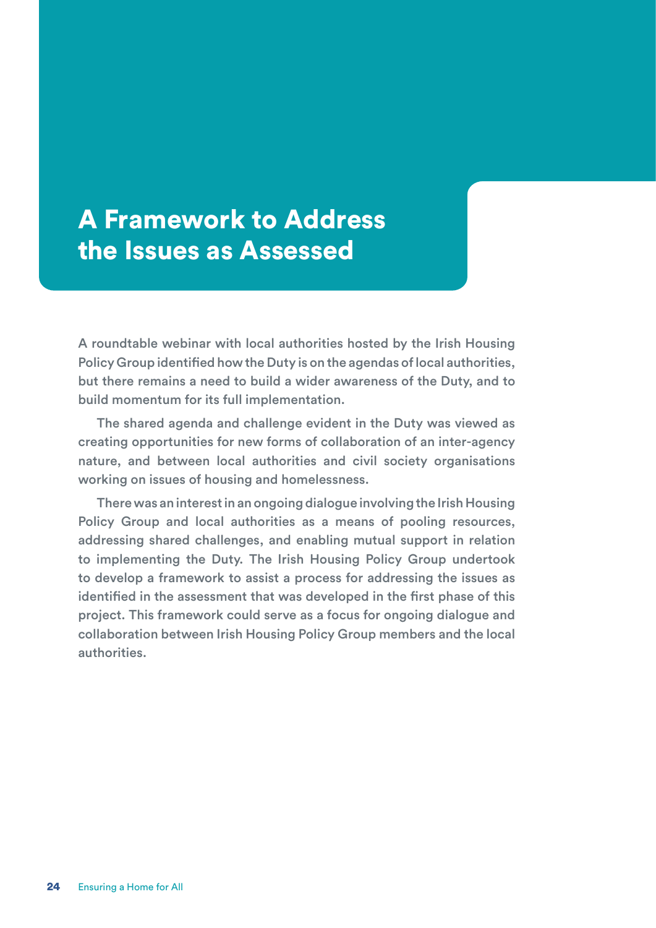# A Framework to Address the Issues as Assessed

A roundtable webinar with local authorities hosted by the Irish Housing Policy Group identified how the Duty is on the agendas of local authorities, but there remains a need to build a wider awareness of the Duty, and to build momentum for its full implementation.

The shared agenda and challenge evident in the Duty was viewed as creating opportunities for new forms of collaboration of an inter-agency nature, and between local authorities and civil society organisations working on issues of housing and homelessness.

There was an interest in an ongoing dialogue involving the Irish Housing Policy Group and local authorities as a means of pooling resources, addressing shared challenges, and enabling mutual support in relation to implementing the Duty. The Irish Housing Policy Group undertook to develop a framework to assist a process for addressing the issues as identified in the assessment that was developed in the first phase of this project. This framework could serve as a focus for ongoing dialogue and collaboration between Irish Housing Policy Group members and the local authorities.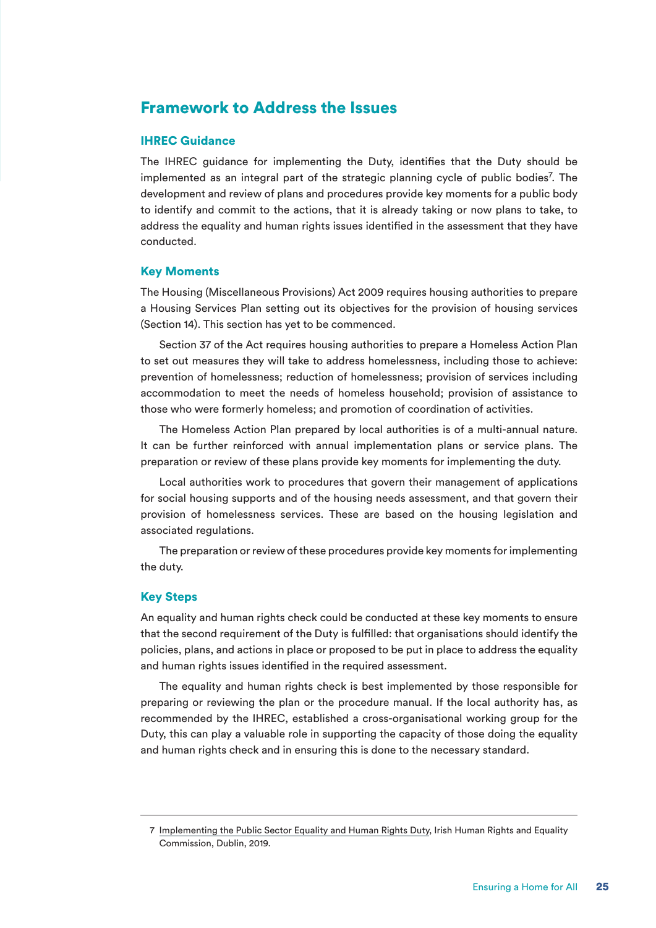### Framework to Address the Issues

#### IHREC Guidance

The IHREC guidance for implementing the Duty, identifies that the Duty should be implemented as an integral part of the strategic planning cycle of public bodies<sup>7</sup>. The development and review of plans and procedures provide key moments for a public body to identify and commit to the actions, that it is already taking or now plans to take, to address the equality and human rights issues identified in the assessment that they have conducted.

#### Key Moments

The Housing (Miscellaneous Provisions) Act 2009 requires housing authorities to prepare a Housing Services Plan setting out its objectives for the provision of housing services (Section 14). This section has yet to be commenced.

Section 37 of the Act requires housing authorities to prepare a Homeless Action Plan to set out measures they will take to address homelessness, including those to achieve: prevention of homelessness; reduction of homelessness; provision of services including accommodation to meet the needs of homeless household; provision of assistance to those who were formerly homeless; and promotion of coordination of activities.

The Homeless Action Plan prepared by local authorities is of a multi-annual nature. It can be further reinforced with annual implementation plans or service plans. The preparation or review of these plans provide key moments for implementing the duty.

Local authorities work to procedures that govern their management of applications for social housing supports and of the housing needs assessment, and that govern their provision of homelessness services. These are based on the housing legislation and associated regulations.

The preparation or review of these procedures provide key moments for implementing the duty.

#### Key Steps

An equality and human rights check could be conducted at these key moments to ensure that the second requirement of the Duty is fulfilled: that organisations should identify the policies, plans, and actions in place or proposed to be put in place to address the equality and human rights issues identified in the required assessment.

The equality and human rights check is best implemented by those responsible for preparing or reviewing the plan or the procedure manual. If the local authority has, as recommended by the IHREC, established a cross-organisational working group for the Duty, this can play a valuable role in supporting the capacity of those doing the equality and human rights check and in ensuring this is done to the necessary standard.

<sup>7</sup> Implementing the Public Sector Equality and Human Rights Duty, Irish Human Rights and Equality Commission, Dublin, 2019.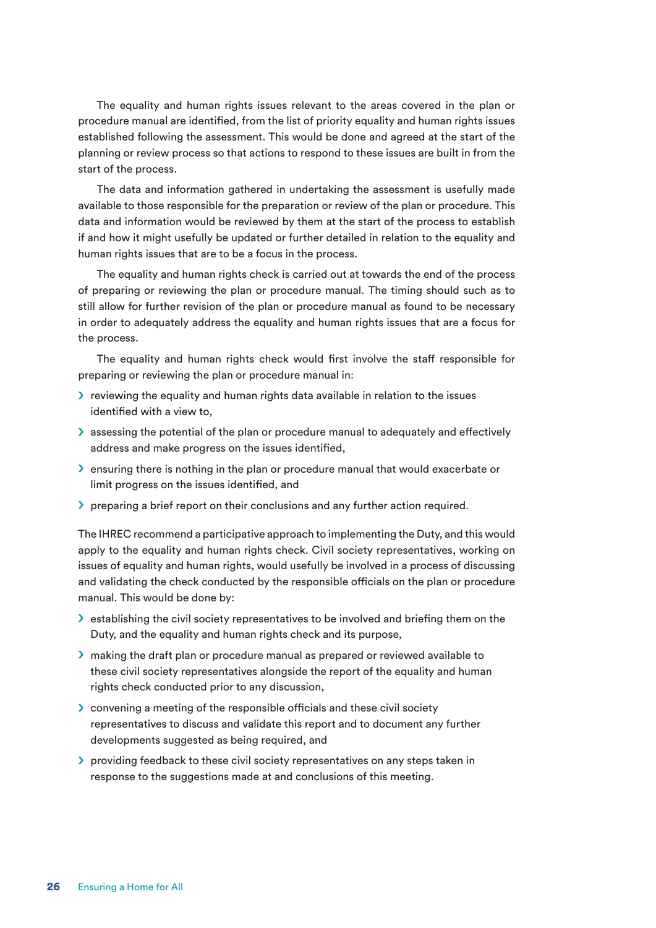The equality and human rights issues relevant to the areas covered in the plan or procedure manual are identified, from the list of priority equality and human rights issues established following the assessment. This would be done and agreed at the start of the planning or review process so that actions to respond to these issues are built in from the start of the process.

The data and information gathered in undertaking the assessment is usefully made available to those responsible for the preparation or review of the plan or procedure. This data and information would be reviewed by them at the start of the process to establish if and how it might usefully be updated or further detailed in relation to the equality and human rights issues that are to be a focus in the process.

The equality and human rights check is carried out at towards the end of the process of preparing or reviewing the plan or procedure manual. The timing should such as to still allow for further revision of the plan or procedure manual as found to be necessary in order to adequately address the equality and human rights issues that are a focus for the process.

The equality and human rights check would first involve the staff responsible for preparing or reviewing the plan or procedure manual in:

- $\ge$  reviewing the equality and human rights data available in relation to the issues identified with a view to,
- $\blacktriangleright$  assessing the potential of the plan or procedure manual to adequately and effectively address and make progress on the issues identified,
- S ensuring there is nothing in the plan or procedure manual that would exacerbate or limit progress on the issues identified, and
- > preparing a brief report on their conclusions and any further action required.

The IHREC recommend a participative approach to implementing the Duty, and this would apply to the equality and human rights check. Civil society representatives, working on issues of equality and human rights, would usefully be involved in a process of discussing and validating the check conducted by the responsible officials on the plan or procedure manual. This would be done by:

- $\blacktriangleright$  establishing the civil society representatives to be involved and briefing them on the Duty, and the equality and human rights check and its purpose,
- $\triangleright$  making the draft plan or procedure manual as prepared or reviewed available to these civil society representatives alongside the report of the equality and human rights check conducted prior to any discussion,
- $\sum$  convening a meeting of the responsible officials and these civil society representatives to discuss and validate this report and to document any further developments suggested as being required, and
- $\triangleright$  providing feedback to these civil society representatives on any steps taken in response to the suggestions made at and conclusions of this meeting.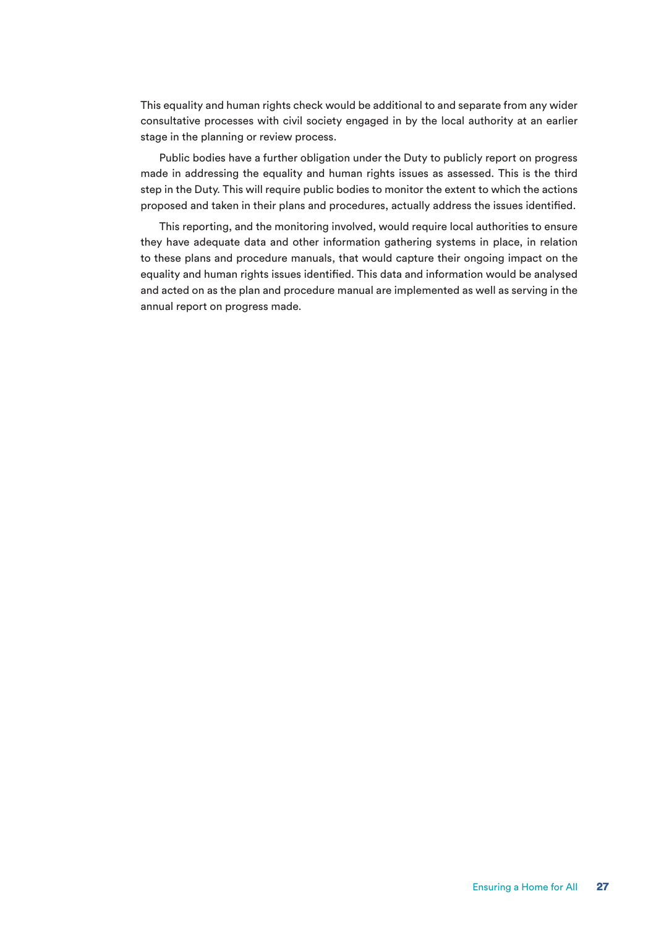This equality and human rights check would be additional to and separate from any wider consultative processes with civil society engaged in by the local authority at an earlier stage in the planning or review process.

Public bodies have a further obligation under the Duty to publicly report on progress made in addressing the equality and human rights issues as assessed. This is the third step in the Duty. This will require public bodies to monitor the extent to which the actions proposed and taken in their plans and procedures, actually address the issues identified.

This reporting, and the monitoring involved, would require local authorities to ensure they have adequate data and other information gathering systems in place, in relation to these plans and procedure manuals, that would capture their ongoing impact on the equality and human rights issues identified. This data and information would be analysed and acted on as the plan and procedure manual are implemented as well as serving in the annual report on progress made.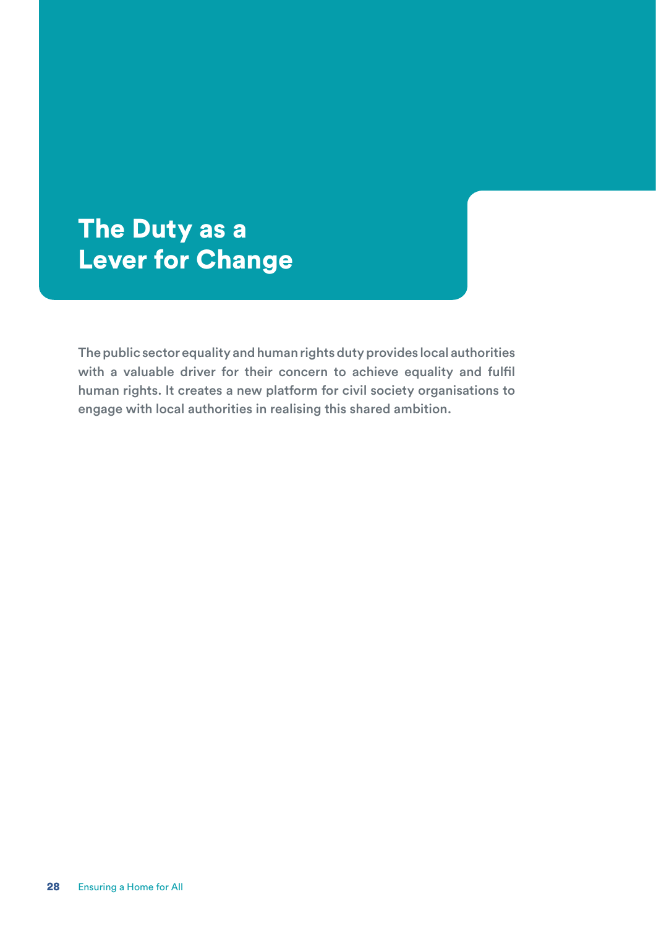# The Duty as a Lever for Change

The public sector equality and human rights duty provides local authorities with a valuable driver for their concern to achieve equality and fulfil human rights. It creates a new platform for civil society organisations to engage with local authorities in realising this shared ambition.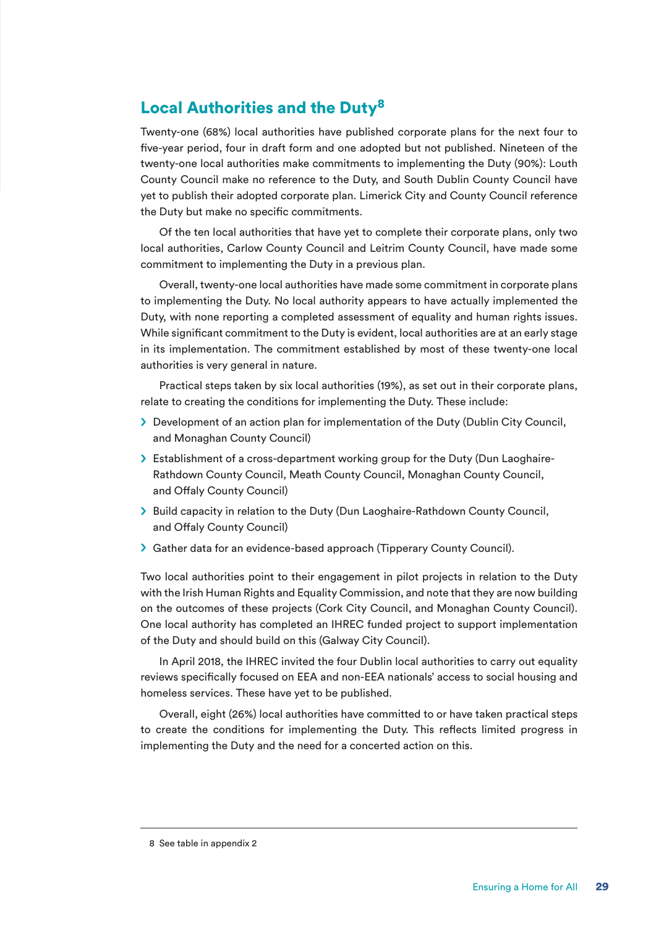### Local Authorities and the Duty<sup>8</sup>

Twenty-one (68%) local authorities have published corporate plans for the next four to five-year period, four in draft form and one adopted but not published. Nineteen of the twenty-one local authorities make commitments to implementing the Duty (90%): Louth County Council make no reference to the Duty, and South Dublin County Council have yet to publish their adopted corporate plan. Limerick City and County Council reference the Duty but make no specific commitments.

Of the ten local authorities that have yet to complete their corporate plans, only two local authorities, Carlow County Council and Leitrim County Council, have made some commitment to implementing the Duty in a previous plan.

Overall, twenty-one local authorities have made some commitment in corporate plans to implementing the Duty. No local authority appears to have actually implemented the Duty, with none reporting a completed assessment of equality and human rights issues. While significant commitment to the Duty is evident, local authorities are at an early stage in its implementation. The commitment established by most of these twenty-one local authorities is very general in nature.

Practical steps taken by six local authorities (19%), as set out in their corporate plans, relate to creating the conditions for implementing the Duty. These include:

- > Development of an action plan for implementation of the Duty (Dublin City Council, and Monaghan County Council)
- S Establishment of a cross-department working group for the Duty (Dun Laoghaire-Rathdown County Council, Meath County Council, Monaghan County Council, and Offaly County Council)
- > Build capacity in relation to the Duty (Dun Laoghaire-Rathdown County Council, and Offaly County Council)
- Sather data for an evidence-based approach (Tipperary County Council).

Two local authorities point to their engagement in pilot projects in relation to the Duty with the Irish Human Rights and Equality Commission, and note that they are now building on the outcomes of these projects (Cork City Council, and Monaghan County Council). One local authority has completed an IHREC funded project to support implementation of the Duty and should build on this (Galway City Council).

In April 2018, the IHREC invited the four Dublin local authorities to carry out equality reviews specifically focused on EEA and non-EEA nationals' access to social housing and homeless services. These have yet to be published.

Overall, eight (26%) local authorities have committed to or have taken practical steps to create the conditions for implementing the Duty. This reflects limited progress in implementing the Duty and the need for a concerted action on this.

<sup>8</sup> See table in appendix 2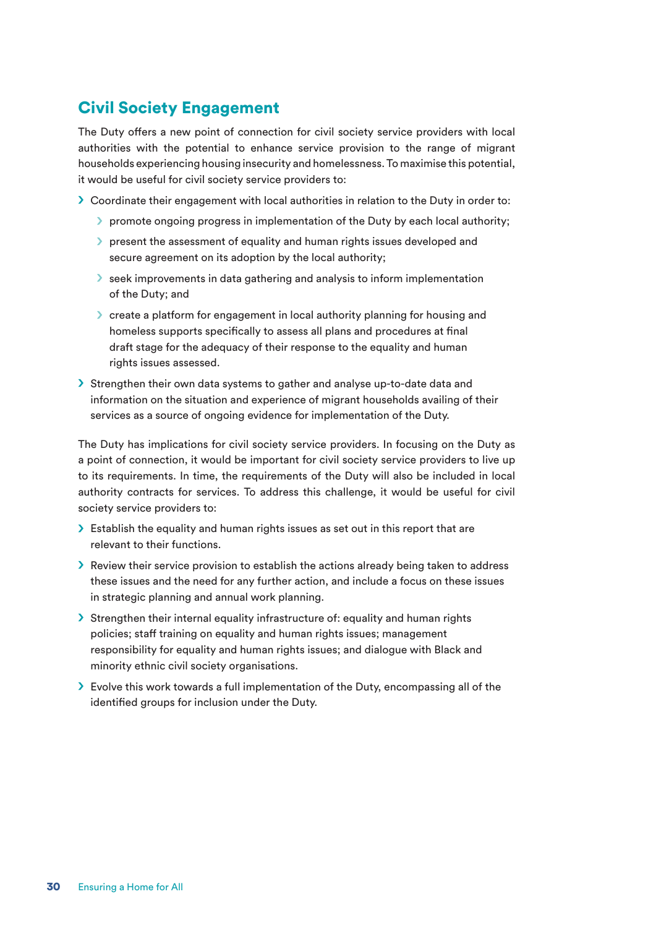### Civil Society Engagement

The Duty offers a new point of connection for civil society service providers with local authorities with the potential to enhance service provision to the range of migrant households experiencing housing insecurity and homelessness. To maximise this potential, it would be useful for civil society service providers to:

- $\geq$  Coordinate their engagement with local authorities in relation to the Duty in order to:
	- $\triangleright$  promote ongoing progress in implementation of the Duty by each local authority;
	- $\ge$  present the assessment of equality and human rights issues developed and secure agreement on its adoption by the local authority;
	- So seek improvements in data gathering and analysis to inform implementation of the Duty; and
	- $\geq$  create a platform for engagement in local authority planning for housing and homeless supports specifically to assess all plans and procedures at final draft stage for the adequacy of their response to the equality and human rights issues assessed.
- $\geq$  Strengthen their own data systems to gather and analyse up-to-date data and information on the situation and experience of migrant households availing of their services as a source of ongoing evidence for implementation of the Duty.

The Duty has implications for civil society service providers. In focusing on the Duty as a point of connection, it would be important for civil society service providers to live up to its requirements. In time, the requirements of the Duty will also be included in local authority contracts for services. To address this challenge, it would be useful for civil society service providers to:

- $\geq$  Establish the equality and human rights issues as set out in this report that are relevant to their functions.
- $\triangleright$  Review their service provision to establish the actions already being taken to address these issues and the need for any further action, and include a focus on these issues in strategic planning and annual work planning.
- $\geq$  Strengthen their internal equality infrastructure of: equality and human rights policies; staff training on equality and human rights issues; management responsibility for equality and human rights issues; and dialogue with Black and minority ethnic civil society organisations.
- $\triangleright$  Evolve this work towards a full implementation of the Duty, encompassing all of the identified groups for inclusion under the Duty.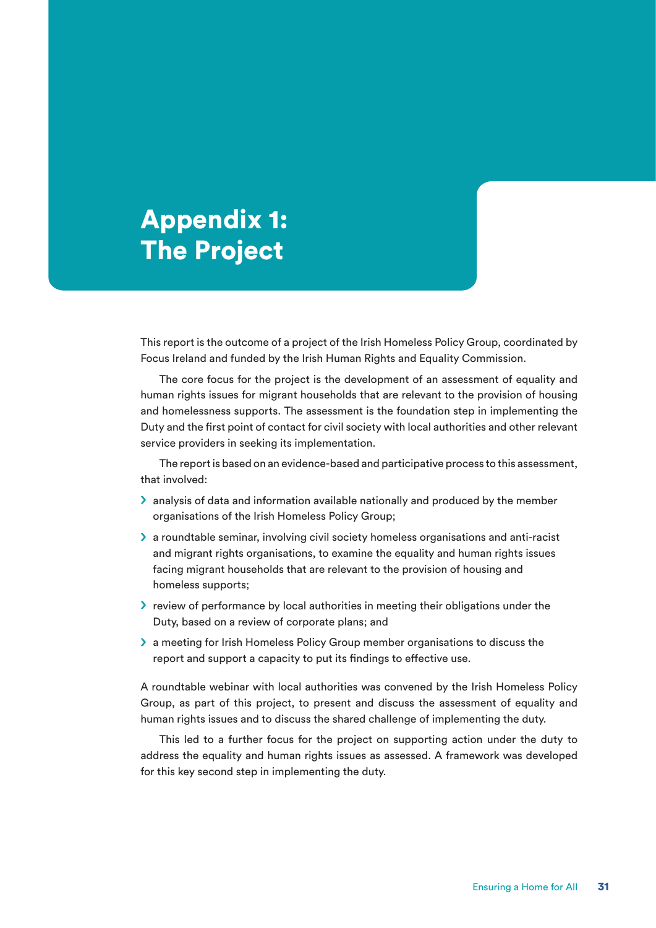# Appendix 1: The Project

This report is the outcome of a project of the Irish Homeless Policy Group, coordinated by Focus Ireland and funded by the Irish Human Rights and Equality Commission.

The core focus for the project is the development of an assessment of equality and human rights issues for migrant households that are relevant to the provision of housing and homelessness supports. The assessment is the foundation step in implementing the Duty and the first point of contact for civil society with local authorities and other relevant service providers in seeking its implementation.

The report is based on an evidence-based and participative process to this assessment, that involved:

- $\blacktriangleright$  analysis of data and information available nationally and produced by the member organisations of the Irish Homeless Policy Group;
- $\geq$  a roundtable seminar, involving civil society homeless organisations and anti-racist and migrant rights organisations, to examine the equality and human rights issues facing migrant households that are relevant to the provision of housing and homeless supports;
- $\triangleright$  review of performance by local authorities in meeting their obligations under the Duty, based on a review of corporate plans; and
- S a meeting for Irish Homeless Policy Group member organisations to discuss the report and support a capacity to put its findings to effective use.

A roundtable webinar with local authorities was convened by the Irish Homeless Policy Group, as part of this project, to present and discuss the assessment of equality and human rights issues and to discuss the shared challenge of implementing the duty.

This led to a further focus for the project on supporting action under the duty to address the equality and human rights issues as assessed. A framework was developed for this key second step in implementing the duty.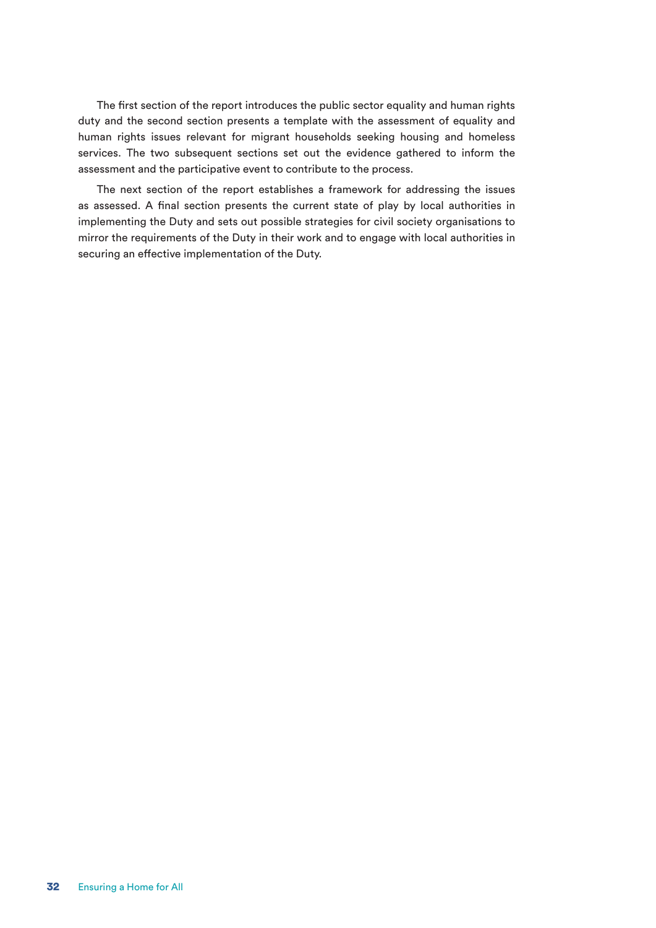The first section of the report introduces the public sector equality and human rights duty and the second section presents a template with the assessment of equality and human rights issues relevant for migrant households seeking housing and homeless services. The two subsequent sections set out the evidence gathered to inform the assessment and the participative event to contribute to the process.

The next section of the report establishes a framework for addressing the issues as assessed. A final section presents the current state of play by local authorities in implementing the Duty and sets out possible strategies for civil society organisations to mirror the requirements of the Duty in their work and to engage with local authorities in securing an effective implementation of the Duty.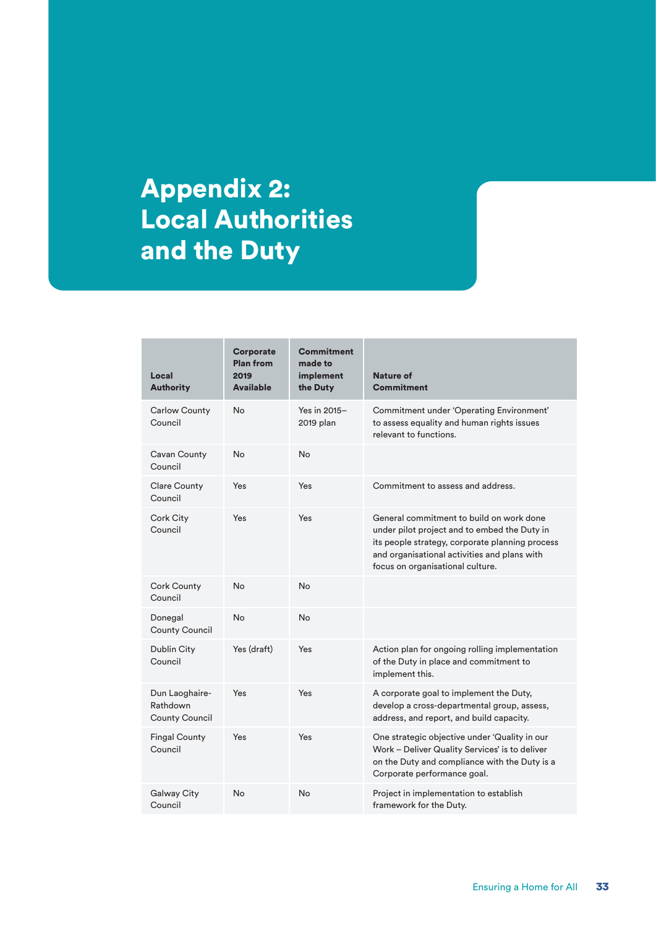# Appendix 2: Local Authorities and the Duty

| Local<br><b>Authority</b>                           | <b>Corporate</b><br><b>Plan from</b><br>2019<br><b>Available</b> | <b>Commitment</b><br>made to<br>implement<br>the Duty | Nature of<br><b>Commitment</b>                                                                                                                                                                                                  |
|-----------------------------------------------------|------------------------------------------------------------------|-------------------------------------------------------|---------------------------------------------------------------------------------------------------------------------------------------------------------------------------------------------------------------------------------|
| <b>Carlow County</b><br>Council                     | No.                                                              | Yes in 2015-<br>2019 plan                             | Commitment under 'Operating Environment'<br>to assess equality and human rights issues<br>relevant to functions.                                                                                                                |
| Cavan County<br>Council                             | <b>No</b>                                                        | No                                                    |                                                                                                                                                                                                                                 |
| <b>Clare County</b><br>Council                      | Yes                                                              | Yes                                                   | Commitment to assess and address.                                                                                                                                                                                               |
| Cork City<br>Council                                | Yes                                                              | Yes                                                   | General commitment to build on work done<br>under pilot project and to embed the Duty in<br>its people strategy, corporate planning process<br>and organisational activities and plans with<br>focus on organisational culture. |
| <b>Cork County</b><br>Council                       | <b>No</b>                                                        | No                                                    |                                                                                                                                                                                                                                 |
| Donegal<br>County Council                           | <b>No</b>                                                        | No                                                    |                                                                                                                                                                                                                                 |
| Dublin City<br>Council                              | Yes (draft)                                                      | Yes                                                   | Action plan for ongoing rolling implementation<br>of the Duty in place and commitment to<br>implement this.                                                                                                                     |
| Dun Laoghaire-<br>Rathdown<br><b>County Council</b> | Yes                                                              | Yes                                                   | A corporate goal to implement the Duty,<br>develop a cross-departmental group, assess,<br>address, and report, and build capacity.                                                                                              |
| <b>Fingal County</b><br>Council                     | Yes                                                              | Yes                                                   | One strategic objective under 'Quality in our<br>Work - Deliver Quality Services' is to deliver<br>on the Duty and compliance with the Duty is a<br>Corporate performance goal.                                                 |
| Galway City<br>Council                              | <b>No</b>                                                        | No                                                    | Project in implementation to establish<br>framework for the Duty.                                                                                                                                                               |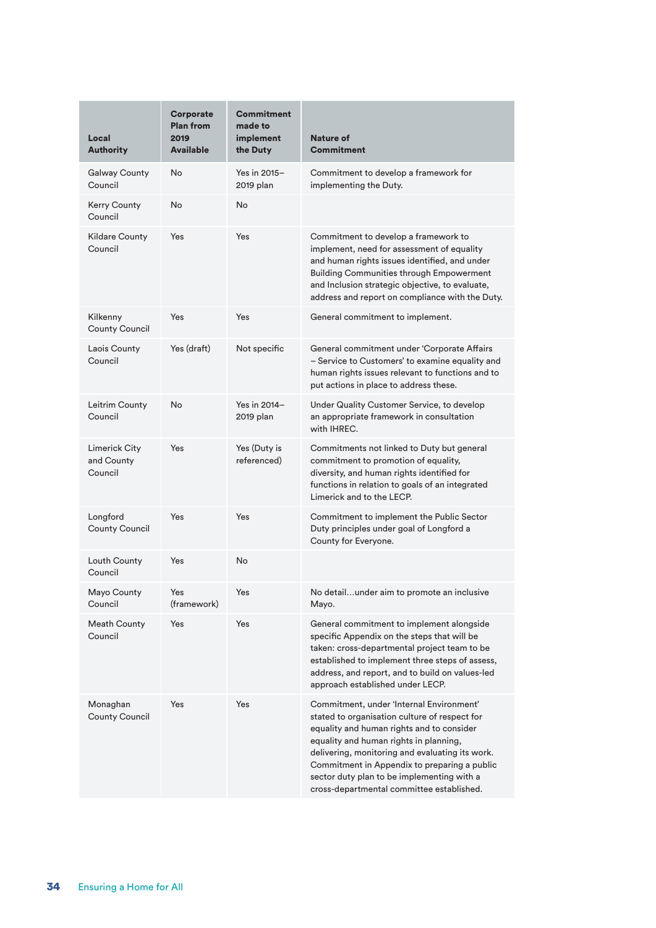| Local<br><b>Authority</b>              | <b>Corporate</b><br><b>Plan from</b><br>2019<br><b>Available</b> | <b>Commitment</b><br>made to<br>implement<br>the Duty | Nature of<br><b>Commitment</b>                                                                                                                                                                                                                                                                                                                                                 |
|----------------------------------------|------------------------------------------------------------------|-------------------------------------------------------|--------------------------------------------------------------------------------------------------------------------------------------------------------------------------------------------------------------------------------------------------------------------------------------------------------------------------------------------------------------------------------|
| <b>Galway County</b><br>Council        | No                                                               | Yes in 2015-<br>2019 plan                             | Commitment to develop a framework for<br>implementing the Duty.                                                                                                                                                                                                                                                                                                                |
| Kerry County<br>Council                | <b>No</b>                                                        | No                                                    |                                                                                                                                                                                                                                                                                                                                                                                |
| <b>Kildare County</b><br>Council       | Yes                                                              | Yes                                                   | Commitment to develop a framework to<br>implement, need for assessment of equality<br>and human rights issues identified, and under<br><b>Building Communities through Empowerment</b><br>and Inclusion strategic objective, to evaluate,<br>address and report on compliance with the Duty.                                                                                   |
| Kilkenny<br>County Council             | Yes                                                              | Yes                                                   | General commitment to implement.                                                                                                                                                                                                                                                                                                                                               |
| Laois County<br>Council                | Yes (draft)                                                      | Not specific                                          | General commitment under 'Corporate Affairs<br>- Service to Customers' to examine equality and<br>human rights issues relevant to functions and to<br>put actions in place to address these.                                                                                                                                                                                   |
| Leitrim County<br>Council              | <b>No</b>                                                        | Yes in 2014-<br>2019 plan                             | Under Quality Customer Service, to develop<br>an appropriate framework in consultation<br>with IHREC.                                                                                                                                                                                                                                                                          |
| Limerick City<br>and County<br>Council | Yes                                                              | Yes (Duty is<br>referenced)                           | Commitments not linked to Duty but general<br>commitment to promotion of equality,<br>diversity, and human rights identified for<br>functions in relation to goals of an integrated<br>Limerick and to the LECP.                                                                                                                                                               |
| Longford<br>County Council             | Yes                                                              | Yes                                                   | Commitment to implement the Public Sector<br>Duty principles under goal of Longford a<br>County for Everyone.                                                                                                                                                                                                                                                                  |
| Louth County<br>Council                | Yes                                                              | No                                                    |                                                                                                                                                                                                                                                                                                                                                                                |
| Mayo County<br>Council                 | Yes<br>(framework)                                               | Yes                                                   | No detailunder aim to promote an inclusive<br>Mayo.                                                                                                                                                                                                                                                                                                                            |
| <b>Meath County</b><br>Council         | Yes                                                              | Yes                                                   | General commitment to implement alongside<br>specific Appendix on the steps that will be<br>taken: cross-departmental project team to be<br>established to implement three steps of assess,<br>address, and report, and to build on values-led<br>approach established under LECP.                                                                                             |
| Monaghan<br><b>County Council</b>      | Yes                                                              | Yes                                                   | Commitment, under 'Internal Environment'<br>stated to organisation culture of respect for<br>equality and human rights and to consider<br>equality and human rights in planning,<br>delivering, monitoring and evaluating its work.<br>Commitment in Appendix to preparing a public<br>sector duty plan to be implementing with a<br>cross-departmental committee established. |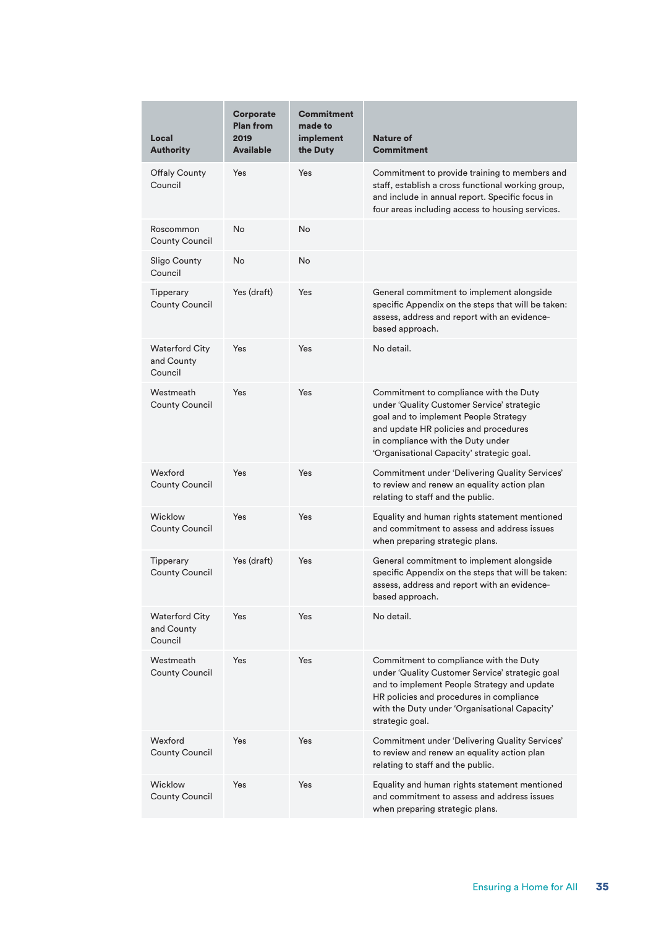| Local<br><b>Authority</b>                      | <b>Corporate</b><br><b>Plan from</b><br>2019<br><b>Available</b> | <b>Commitment</b><br>made to<br>implement<br>the Duty | Nature of<br><b>Commitment</b>                                                                                                                                                                                                                           |
|------------------------------------------------|------------------------------------------------------------------|-------------------------------------------------------|----------------------------------------------------------------------------------------------------------------------------------------------------------------------------------------------------------------------------------------------------------|
| <b>Offaly County</b><br>Council                | Yes                                                              | Yes                                                   | Commitment to provide training to members and<br>staff, establish a cross functional working group,<br>and include in annual report. Specific focus in<br>four areas including access to housing services.                                               |
| Roscommon<br><b>County Council</b>             | No                                                               | <b>No</b>                                             |                                                                                                                                                                                                                                                          |
| <b>Sligo County</b><br>Council                 | No                                                               | <b>No</b>                                             |                                                                                                                                                                                                                                                          |
| Tipperary<br>County Council                    | Yes (draft)                                                      | Yes                                                   | General commitment to implement alongside<br>specific Appendix on the steps that will be taken:<br>assess, address and report with an evidence-<br>based approach.                                                                                       |
| <b>Waterford City</b><br>and County<br>Council | Yes                                                              | Yes                                                   | No detail.                                                                                                                                                                                                                                               |
| Westmeath<br><b>County Council</b>             | Yes                                                              | Yes                                                   | Commitment to compliance with the Duty<br>under 'Quality Customer Service' strategic<br>goal and to implement People Strategy<br>and update HR policies and procedures<br>in compliance with the Duty under<br>'Organisational Capacity' strategic goal. |
| Wexford<br><b>County Council</b>               | Yes                                                              | Yes                                                   | Commitment under 'Delivering Quality Services'<br>to review and renew an equality action plan<br>relating to staff and the public.                                                                                                                       |
| Wicklow<br><b>County Council</b>               | Yes                                                              | Yes                                                   | Equality and human rights statement mentioned<br>and commitment to assess and address issues<br>when preparing strategic plans.                                                                                                                          |
| Tipperary<br>County Council                    | Yes (draft)                                                      | Yes                                                   | General commitment to implement alongside<br>specific Appendix on the steps that will be taken:<br>assess, address and report with an evidence-<br>based approach.                                                                                       |
| <b>Waterford City</b><br>and County<br>Council | Yes                                                              | Yes                                                   | No detail.                                                                                                                                                                                                                                               |
| Westmeath<br><b>County Council</b>             | Yes                                                              | Yes                                                   | Commitment to compliance with the Duty<br>under 'Quality Customer Service' strategic goal<br>and to implement People Strategy and update<br>HR policies and procedures in compliance<br>with the Duty under 'Organisational Capacity'<br>strategic goal. |
| Wexford<br><b>County Council</b>               | Yes                                                              | Yes                                                   | Commitment under 'Delivering Quality Services'<br>to review and renew an equality action plan<br>relating to staff and the public.                                                                                                                       |
| Wicklow<br><b>County Council</b>               | Yes                                                              | Yes                                                   | Equality and human rights statement mentioned<br>and commitment to assess and address issues<br>when preparing strategic plans.                                                                                                                          |